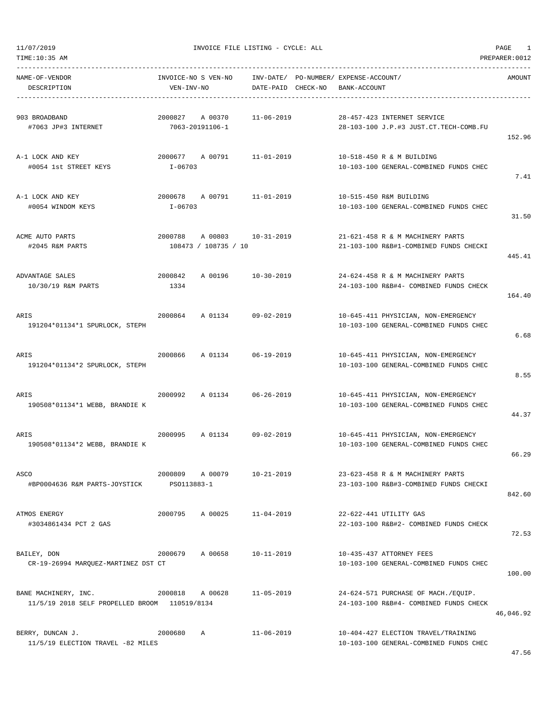11/07/2019 INVOICE FILE LISTING - CYCLE: ALL PAGE 1

| NAME-OF-VENDOR<br>DESCRIPTION                                         | INVOICE-NO S VEN-NO<br>VEN-INV-NO |                                 | DATE-PAID CHECK-NO | INV-DATE/ PO-NUMBER/ EXPENSE-ACCOUNT/<br>BANK-ACCOUNT |                                                                               | AMOUNT    |
|-----------------------------------------------------------------------|-----------------------------------|---------------------------------|--------------------|-------------------------------------------------------|-------------------------------------------------------------------------------|-----------|
| 903 BROADBAND<br>#7063 JP#3 INTERNET                                  | 2000827                           | A 00370<br>7063-20191106-1      | $11 - 06 - 2019$   |                                                       | 28-457-423 INTERNET SERVICE<br>28-103-100 J.P.#3 JUST.CT.TECH-COMB.FU         | 152.96    |
| A-1 LOCK AND KEY<br>#0054 1st STREET KEYS                             | 2000677<br>$I - 06703$            | A 00791                         | $11 - 01 - 2019$   |                                                       | 10-518-450 R & M BUILDING<br>10-103-100 GENERAL-COMBINED FUNDS CHEC           | 7.41      |
| A-1 LOCK AND KEY<br>#0054 WINDOM KEYS                                 | 2000678<br>I-06703                | A 00791                         | 11-01-2019         |                                                       | 10-515-450 R&M BUILDING<br>10-103-100 GENERAL-COMBINED FUNDS CHEC             | 31.50     |
| ACME AUTO PARTS<br>#2045 R&M PARTS                                    | 2000788                           | A 00803<br>108473 / 108735 / 10 | $10 - 31 - 2019$   |                                                       | 21-621-458 R & M MACHINERY PARTS<br>21-103-100 R&B#1-COMBINED FUNDS CHECKI    | 445.41    |
| ADVANTAGE SALES<br>10/30/19 R&M PARTS                                 | 2000842<br>1334                   | A 00196                         | $10 - 30 - 2019$   |                                                       | 24-624-458 R & M MACHINERY PARTS<br>24-103-100 R&B#4- COMBINED FUNDS CHECK    | 164.40    |
| ARIS<br>191204*01134*1 SPURLOCK, STEPH                                | 2000864                           | A 01134                         | $09 - 02 - 2019$   |                                                       | 10-645-411 PHYSICIAN, NON-EMERGENCY<br>10-103-100 GENERAL-COMBINED FUNDS CHEC | 6.68      |
| ARIS<br>191204*01134*2 SPURLOCK, STEPH                                | 2000866                           | A 01134                         | $06 - 19 - 2019$   |                                                       | 10-645-411 PHYSICIAN, NON-EMERGENCY<br>10-103-100 GENERAL-COMBINED FUNDS CHEC | 8.55      |
| ARIS<br>190508*01134*1 WEBB, BRANDIE K                                | 2000992                           | A 01134                         | $06 - 26 - 2019$   |                                                       | 10-645-411 PHYSICIAN, NON-EMERGENCY<br>10-103-100 GENERAL-COMBINED FUNDS CHEC | 44.37     |
| ARIS<br>190508*01134*2 WEBB, BRANDIE K                                | 2000995                           | A 01134                         | $09 - 02 - 2019$   |                                                       | 10-645-411 PHYSICIAN, NON-EMERGENCY<br>10-103-100 GENERAL-COMBINED FUNDS CHEC | 66.29     |
| ASCO<br>#BP0004636 R&M PARTS-JOYSTICK                                 | 2000809<br>PS0113883-1            | A 00079                         | $10 - 21 - 2019$   |                                                       | 23-623-458 R & M MACHINERY PARTS<br>23-103-100 R&B#3-COMBINED FUNDS CHECKI    | 842.60    |
| ATMOS ENERGY<br>#3034861434 PCT 2 GAS                                 | 2000795                           | A 00025                         | $11 - 04 - 2019$   |                                                       | 22-622-441 UTILITY GAS<br>22-103-100 R&B#2- COMBINED FUNDS CHECK              | 72.53     |
| BAILEY, DON<br>CR-19-26994 MARQUEZ-MARTINEZ DST CT                    | 2000679                           | A 00658                         | $10 - 11 - 2019$   |                                                       | 10-435-437 ATTORNEY FEES<br>10-103-100 GENERAL-COMBINED FUNDS CHEC            | 100.00    |
| BANE MACHINERY, INC.<br>11/5/19 2018 SELF PROPELLED BROOM 110519/8134 | 2000818                           | A 00628                         | 11-05-2019         |                                                       | 24-624-571 PURCHASE OF MACH./EQUIP.<br>24-103-100 R&B#4- COMBINED FUNDS CHECK | 46,046.92 |
| BERRY, DUNCAN J.<br>11/5/19 ELECTION TRAVEL -82 MILES                 | 2000680                           | Α                               | $11 - 06 - 2019$   |                                                       | 10-404-427 ELECTION TRAVEL/TRAINING<br>10-103-100 GENERAL-COMBINED FUNDS CHEC |           |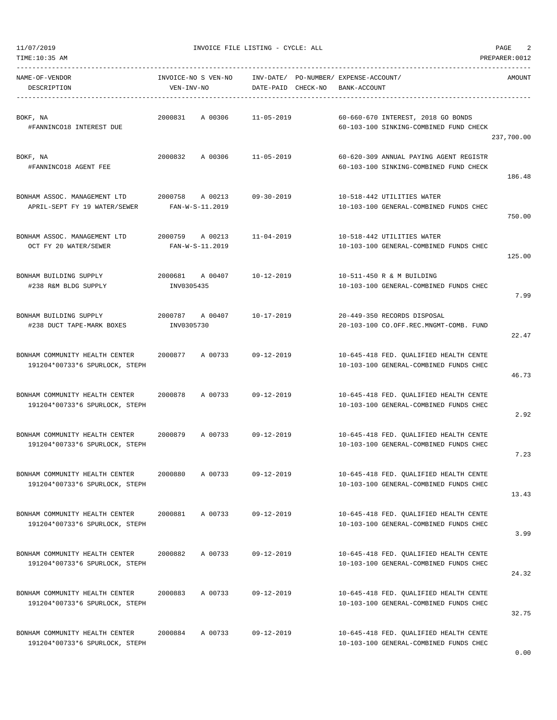11/07/2019 INVOICE FILE LISTING - CYCLE: ALL PAGE 2

DESCRIPTION VEN-INV-NO DATE-PAID CHECK-NO BANK-ACCOUNT

----------------------------------------------------------------------------------------------------------------------------------- NAME-OF-VENDOR INVOICE-NO S VEN-NO INV-DATE/ PO-NUMBER/ EXPENSE-ACCOUNT/ AMOUNT

-----------------------------------------------------------------------------------------------------------------------------------

BOKF, NA 2000831 A 00306 11-05-2019 60-660-670 INTEREST, 2018 GO BONDS #FANNINCO18 INTEREST DUE 60-103-100 SINKING-COMBINED FUND CHECK 237,700.00 BOKF, NA 2000832 A 00306 11-05-2019 60-620-309 ANNUAL PAYING AGENT REGISTR #FANNINCO18 AGENT FEE 60-103-100 SINKING-COMBINED FUND CHECK 186.48 BONHAM ASSOC. MANAGEMENT LTD 2000758 A 00213 09-30-2019 10-518-442 UTILITIES WATER APRIL-SEPT FY 19 WATER/SEWER FAN-W-S-11.2019 10-103-100 GENERAL-COMBINED FUNDS CHEC 750.00 BONHAM ASSOC. MANAGEMENT LTD 2000759 A 00213 11-04-2019 10-518-442 UTILITIES WATER OCT FY 20 WATER/SEWER FAN-W-S-11.2019 10-103-100 GENERAL-COMBINED FUNDS CHEC 125.00 BONHAM BUILDING SUPPLY 2000681 A 00407 10-12-2019 10-511-450 R & M BUILDING #238 R&M BLDG SUPPLY INV0305435 10-103-100 GENERAL-COMBINED FUNDS CHEC 7.99 BONHAM BUILDING SUPPLY 2000787 A 00407 10-17-2019 20-449-350 RECORDS DISPOSAL #238 DUCT TAPE-MARK BOXES INV0305730 20-103-100 CO.OFF.REC.MNGMT-COMB. FUND 22.47 BONHAM COMMUNITY HEALTH CENTER 2000877 A 00733 09-12-2019 10-645-418 FED. QUALIFIED HEALTH CENTE 191204\*00733\*6 SPURLOCK, STEPH 10-103-100 GENERAL-COMBINED FUNDS CHEC 46.73 BONHAM COMMUNITY HEALTH CENTER 2000878 A 00733 09-12-2019 10-645-418 FED. QUALIFIED HEALTH CENTE 191204\*00733\*6 SPURLOCK, STEPH 10-103-100 GENERAL-COMBINED FUNDS CHEC 2.92 BONHAM COMMUNITY HEALTH CENTER 2000879 A 00733 09-12-2019 10-645-418 FED. QUALIFIED HEALTH CENTE 191204\*00733\*6 SPURLOCK, STEPH 10-103-100 GENERAL-COMBINED FUNDS CHEC 7.23 BONHAM COMMUNITY HEALTH CENTER 2000880 A 00733 09-12-2019 10-645-418 FED. QUALIFIED HEALTH CENTE 191204\*00733\*6 SPURLOCK, STEPH 10-103-100 GENERAL-COMBINED FUNDS CHEC 13.43 BONHAM COMMUNITY HEALTH CENTER 2000881 A 00733 09-12-2019 10-645-418 FED. QUALIFIED HEALTH CENTE 191204\*00733\*6 SPURLOCK, STEPH 10-103-100 GENERAL-COMBINED FUNDS CHEC 3.99 BONHAM COMMUNITY HEALTH CENTER 2000882 A 00733 09-12-2019 10-645-418 FED. QUALIFIED HEALTH CENTE 191204\*00733\*6 SPURLOCK, STEPH 10-103-100 GENERAL-COMBINED FUNDS CHEC 24.32 BONHAM COMMUNITY HEALTH CENTER 2000883 A 00733 09-12-2019 10-645-418 FED. QUALIFIED HEALTH CENTE 191204\*00733\*6 SPURLOCK, STEPH 10-103-100 GENERAL-COMBINED FUNDS CHEC 32.75 BONHAM COMMUNITY HEALTH CENTER 2000884 A 00733 09-12-2019 10-645-418 FED. QUALIFIED HEALTH CENTE 191204\*00733\*6 SPURLOCK, STEPH 10-103-100 GENERAL-COMBINED FUNDS CHEC 0.00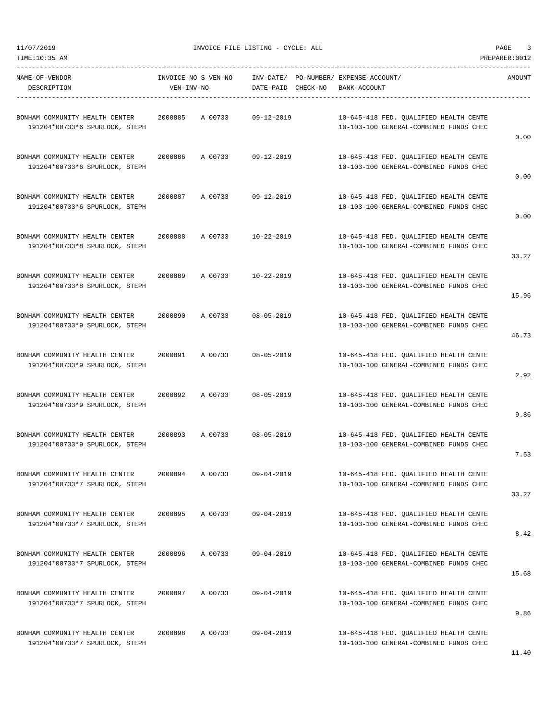11/07/2019 INVOICE FILE LISTING - CYCLE: ALL PAGE 3

 $\begin{array}{cccccccccc} \mathtt{NAME-OF-VENDOR} \end{array} \begin{array}{cccccccccc} \mathtt{INVOICE-NO} & \mathtt{S} & \mathtt{VEN-NO} \end{array} \begin{array}{cccccccccc} \mathtt{INV-DATE} / & \mathtt{PO-NUMBER} / & \mathtt{EXPENSE-ACCOUNT} / \end{array}$ 

-----------------------------------------------------------------------------------------------------------------------------------

| DESCRIPTION                                                      | VEN-INV-NO |         | DATE-PAID CHECK-NO | BANK-ACCOUNT                                                                     |       |
|------------------------------------------------------------------|------------|---------|--------------------|----------------------------------------------------------------------------------|-------|
| BONHAM COMMUNITY HEALTH CENTER<br>191204*00733*6 SPURLOCK, STEPH | 2000885    | A 00733 | $09 - 12 - 2019$   | 10-645-418 FED. QUALIFIED HEALTH CENTE<br>10-103-100 GENERAL-COMBINED FUNDS CHEC | 0.00  |
| BONHAM COMMUNITY HEALTH CENTER<br>191204*00733*6 SPURLOCK, STEPH | 2000886    | A 00733 | $09 - 12 - 2019$   | 10-645-418 FED. QUALIFIED HEALTH CENTE<br>10-103-100 GENERAL-COMBINED FUNDS CHEC | 0.00  |
| BONHAM COMMUNITY HEALTH CENTER<br>191204*00733*6 SPURLOCK, STEPH | 2000887    | A 00733 | $09 - 12 - 2019$   | 10-645-418 FED. QUALIFIED HEALTH CENTE<br>10-103-100 GENERAL-COMBINED FUNDS CHEC | 0.00  |
| BONHAM COMMUNITY HEALTH CENTER<br>191204*00733*8 SPURLOCK, STEPH | 2000888    | A 00733 | $10 - 22 - 2019$   | 10-645-418 FED. QUALIFIED HEALTH CENTE<br>10-103-100 GENERAL-COMBINED FUNDS CHEC | 33.27 |
| BONHAM COMMUNITY HEALTH CENTER<br>191204*00733*8 SPURLOCK, STEPH | 2000889    | A 00733 | $10 - 22 - 2019$   | 10-645-418 FED. OUALIFIED HEALTH CENTE<br>10-103-100 GENERAL-COMBINED FUNDS CHEC | 15.96 |
| BONHAM COMMUNITY HEALTH CENTER<br>191204*00733*9 SPURLOCK, STEPH | 2000890    | A 00733 | $08 - 05 - 2019$   | 10-645-418 FED. QUALIFIED HEALTH CENTE<br>10-103-100 GENERAL-COMBINED FUNDS CHEC | 46.73 |
| BONHAM COMMUNITY HEALTH CENTER<br>191204*00733*9 SPURLOCK, STEPH | 2000891    | A 00733 | $08 - 05 - 2019$   | 10-645-418 FED. QUALIFIED HEALTH CENTE<br>10-103-100 GENERAL-COMBINED FUNDS CHEC | 2.92  |
| BONHAM COMMUNITY HEALTH CENTER<br>191204*00733*9 SPURLOCK, STEPH | 2000892    | A 00733 | $08 - 05 - 2019$   | 10-645-418 FED. QUALIFIED HEALTH CENTE<br>10-103-100 GENERAL-COMBINED FUNDS CHEC | 9.86  |
| BONHAM COMMUNITY HEALTH CENTER<br>191204*00733*9 SPURLOCK, STEPH | 2000893    | A 00733 | $08 - 05 - 2019$   | 10-645-418 FED. QUALIFIED HEALTH CENTE<br>10-103-100 GENERAL-COMBINED FUNDS CHEC | 7.53  |
| BONHAM COMMUNITY HEALTH CENTER<br>191204*00733*7 SPURLOCK, STEPH | 2000894    | A 00733 | $09 - 04 - 2019$   | 10-645-418 FED. QUALIFIED HEALTH CENTE<br>10-103-100 GENERAL-COMBINED FUNDS CHEC | 33.27 |
| BONHAM COMMUNITY HEALTH CENTER<br>191204*00733*7 SPURLOCK, STEPH | 2000895    | A 00733 | $09 - 04 - 2019$   | 10-645-418 FED. QUALIFIED HEALTH CENTE<br>10-103-100 GENERAL-COMBINED FUNDS CHEC | 8.42  |
| BONHAM COMMUNITY HEALTH CENTER<br>191204*00733*7 SPURLOCK, STEPH | 2000896    | A 00733 | $09 - 04 - 2019$   | 10-645-418 FED. QUALIFIED HEALTH CENTE<br>10-103-100 GENERAL-COMBINED FUNDS CHEC | 15.68 |
| BONHAM COMMUNITY HEALTH CENTER<br>191204*00733*7 SPURLOCK, STEPH | 2000897    | A 00733 | $09 - 04 - 2019$   | 10-645-418 FED. QUALIFIED HEALTH CENTE<br>10-103-100 GENERAL-COMBINED FUNDS CHEC | 9.86  |
| BONHAM COMMUNITY HEALTH CENTER<br>191204*00733*7 SPURLOCK, STEPH | 2000898    | A 00733 | $09 - 04 - 2019$   | 10-645-418 FED. QUALIFIED HEALTH CENTE<br>10-103-100 GENERAL-COMBINED FUNDS CHEC | 11.40 |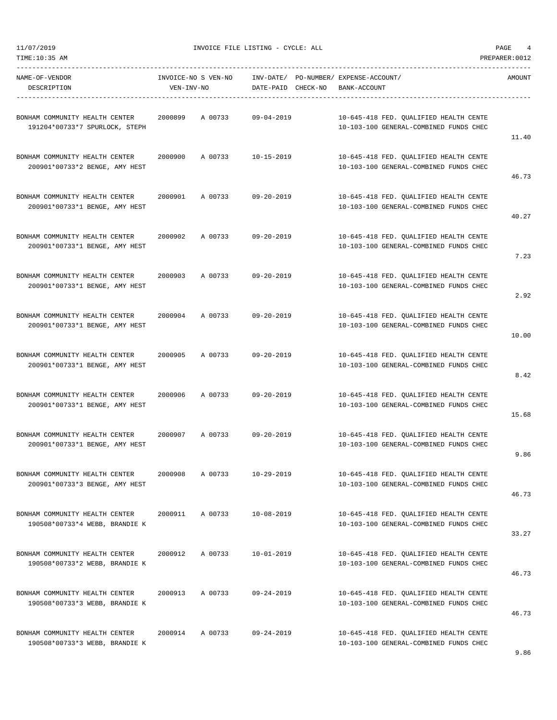11/07/2019 INVOICE FILE LISTING - CYCLE: ALL PAGE 4

-----------------------------------------------------------------------------------------------------------------------------------

| NAME-OF-VENDOR<br>DESCRIPTION                                    | INVOICE-NO S VEN-NO<br>VEN-INV-NO | INV-DATE/ PO-NUMBER/ EXPENSE-ACCOUNT/<br>DATE-PAID CHECK-NO | BANK-ACCOUNT                                                                     | AMOUNT |
|------------------------------------------------------------------|-----------------------------------|-------------------------------------------------------------|----------------------------------------------------------------------------------|--------|
| BONHAM COMMUNITY HEALTH CENTER<br>191204*00733*7 SPURLOCK, STEPH | 2000899<br>A 00733                | $09 - 04 - 2019$                                            | 10-645-418 FED. QUALIFIED HEALTH CENTE<br>10-103-100 GENERAL-COMBINED FUNDS CHEC | 11.40  |
| BONHAM COMMUNITY HEALTH CENTER<br>200901*00733*2 BENGE, AMY HEST | 2000900<br>A 00733                | $10 - 15 - 2019$                                            | 10-645-418 FED. QUALIFIED HEALTH CENTE<br>10-103-100 GENERAL-COMBINED FUNDS CHEC | 46.73  |
| BONHAM COMMUNITY HEALTH CENTER<br>200901*00733*1 BENGE, AMY HEST | 2000901<br>A 00733                | $09 - 20 - 2019$                                            | 10-645-418 FED. QUALIFIED HEALTH CENTE<br>10-103-100 GENERAL-COMBINED FUNDS CHEC | 40.27  |
| BONHAM COMMUNITY HEALTH CENTER<br>200901*00733*1 BENGE, AMY HEST | 2000902<br>A 00733                | $09 - 20 - 2019$                                            | 10-645-418 FED. QUALIFIED HEALTH CENTE<br>10-103-100 GENERAL-COMBINED FUNDS CHEC | 7.23   |
| BONHAM COMMUNITY HEALTH CENTER<br>200901*00733*1 BENGE, AMY HEST | 2000903<br>A 00733                | $09 - 20 - 2019$                                            | 10-645-418 FED. QUALIFIED HEALTH CENTE<br>10-103-100 GENERAL-COMBINED FUNDS CHEC | 2.92   |
| BONHAM COMMUNITY HEALTH CENTER<br>200901*00733*1 BENGE, AMY HEST | 2000904<br>A 00733                | $09 - 20 - 2019$                                            | 10-645-418 FED. QUALIFIED HEALTH CENTE<br>10-103-100 GENERAL-COMBINED FUNDS CHEC | 10.00  |
| BONHAM COMMUNITY HEALTH CENTER<br>200901*00733*1 BENGE, AMY HEST | 2000905<br>A 00733                | $09 - 20 - 2019$                                            | 10-645-418 FED. QUALIFIED HEALTH CENTE<br>10-103-100 GENERAL-COMBINED FUNDS CHEC | 8.42   |
| BONHAM COMMUNITY HEALTH CENTER<br>200901*00733*1 BENGE, AMY HEST | A 00733<br>2000906                | $09 - 20 - 2019$                                            | 10-645-418 FED. QUALIFIED HEALTH CENTE<br>10-103-100 GENERAL-COMBINED FUNDS CHEC | 15.68  |
| BONHAM COMMUNITY HEALTH CENTER<br>200901*00733*1 BENGE, AMY HEST | 2000907<br>A 00733                | $09 - 20 - 2019$                                            | 10-645-418 FED. OUALIFIED HEALTH CENTE<br>10-103-100 GENERAL-COMBINED FUNDS CHEC | 9.86   |
| BONHAM COMMUNITY HEALTH CENTER<br>200901*00733*3 BENGE, AMY HEST | 2000908<br>A 00733                | $10 - 29 - 2019$                                            | 10-645-418 FED. QUALIFIED HEALTH CENTE<br>10-103-100 GENERAL-COMBINED FUNDS CHEC | 46.73  |
| BONHAM COMMUNITY HEALTH CENTER<br>190508*00733*4 WEBB, BRANDIE K | A 00733<br>2000911                | $10 - 08 - 2019$                                            | 10-645-418 FED. OUALIFIED HEALTH CENTE<br>10-103-100 GENERAL-COMBINED FUNDS CHEC | 33.27  |
| BONHAM COMMUNITY HEALTH CENTER<br>190508*00733*2 WEBB, BRANDIE K | 2000912<br>A 00733                | $10 - 01 - 2019$                                            | 10-645-418 FED. OUALIFIED HEALTH CENTE<br>10-103-100 GENERAL-COMBINED FUNDS CHEC | 46.73  |
| BONHAM COMMUNITY HEALTH CENTER<br>190508*00733*3 WEBB, BRANDIE K | 2000913<br>A 00733                | $09 - 24 - 2019$                                            | 10-645-418 FED. OUALIFIED HEALTH CENTE<br>10-103-100 GENERAL-COMBINED FUNDS CHEC | 46.73  |
| BONHAM COMMUNITY HEALTH CENTER<br>190508*00733*3 WEBB, BRANDIE K | 2000914<br>A 00733                | 09-24-2019                                                  | 10-645-418 FED. QUALIFIED HEALTH CENTE<br>10-103-100 GENERAL-COMBINED FUNDS CHEC |        |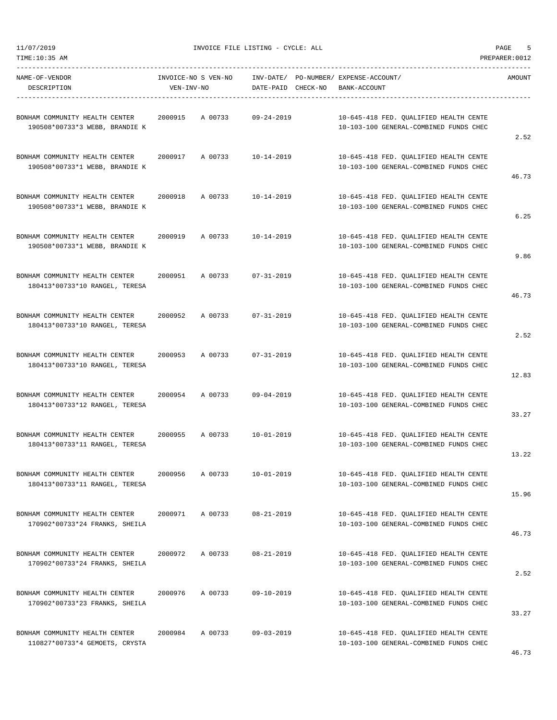11/07/2019 INVOICE FILE LISTING - CYCLE: ALL PAGE 5

-----------------------------------------------------------------------------------------------------------------------------------

| NAME-OF-VENDOR<br>DESCRIPTION                                    | INVOICE-NO S VEN-NO<br>VEN-INV-NO | INV-DATE/ PO-NUMBER/ EXPENSE-ACCOUNT/<br>DATE-PAID CHECK-NO | BANK-ACCOUNT                                                                     | AMOUNT  |
|------------------------------------------------------------------|-----------------------------------|-------------------------------------------------------------|----------------------------------------------------------------------------------|---------|
| BONHAM COMMUNITY HEALTH CENTER<br>190508*00733*3 WEBB, BRANDIE K | 2000915<br>A 00733                | $09 - 24 - 2019$                                            | 10-645-418 FED. QUALIFIED HEALTH CENTE<br>10-103-100 GENERAL-COMBINED FUNDS CHEC | 2.52    |
| BONHAM COMMUNITY HEALTH CENTER<br>190508*00733*1 WEBB, BRANDIE K | A 00733<br>2000917                | $10 - 14 - 2019$                                            | 10-645-418 FED. QUALIFIED HEALTH CENTE<br>10-103-100 GENERAL-COMBINED FUNDS CHEC | 46.73   |
| BONHAM COMMUNITY HEALTH CENTER<br>190508*00733*1 WEBB, BRANDIE K | 2000918<br>A 00733                | $10 - 14 - 2019$                                            | 10-645-418 FED. QUALIFIED HEALTH CENTE<br>10-103-100 GENERAL-COMBINED FUNDS CHEC | 6.25    |
| BONHAM COMMUNITY HEALTH CENTER<br>190508*00733*1 WEBB, BRANDIE K | 2000919<br>A 00733                | $10 - 14 - 2019$                                            | 10-645-418 FED. QUALIFIED HEALTH CENTE<br>10-103-100 GENERAL-COMBINED FUNDS CHEC | 9.86    |
| BONHAM COMMUNITY HEALTH CENTER<br>180413*00733*10 RANGEL, TERESA | 2000951<br>A 00733                | $07 - 31 - 2019$                                            | 10-645-418 FED. OUALIFIED HEALTH CENTE<br>10-103-100 GENERAL-COMBINED FUNDS CHEC | 46.73   |
| BONHAM COMMUNITY HEALTH CENTER<br>180413*00733*10 RANGEL, TERESA | 2000952<br>A 00733                | $07 - 31 - 2019$                                            | 10-645-418 FED. QUALIFIED HEALTH CENTE<br>10-103-100 GENERAL-COMBINED FUNDS CHEC | 2.52    |
| BONHAM COMMUNITY HEALTH CENTER<br>180413*00733*10 RANGEL, TERESA | A 00733<br>2000953                | $07 - 31 - 2019$                                            | 10-645-418 FED. QUALIFIED HEALTH CENTE<br>10-103-100 GENERAL-COMBINED FUNDS CHEC | 12.83   |
| BONHAM COMMUNITY HEALTH CENTER<br>180413*00733*12 RANGEL, TERESA | 2000954<br>A 00733                | $09 - 04 - 2019$                                            | 10-645-418 FED. QUALIFIED HEALTH CENTE<br>10-103-100 GENERAL-COMBINED FUNDS CHEC | 33.27   |
| BONHAM COMMUNITY HEALTH CENTER<br>180413*00733*11 RANGEL, TERESA | 2000955<br>A 00733                | $10 - 01 - 2019$                                            | 10-645-418 FED. QUALIFIED HEALTH CENTE<br>10-103-100 GENERAL-COMBINED FUNDS CHEC | 13.22   |
| BONHAM COMMUNITY HEALTH CENTER<br>180413*00733*11 RANGEL, TERESA | 2000956<br>A 00733                | $10 - 01 - 2019$                                            | 10-645-418 FED. OUALIFIED HEALTH CENTE<br>10-103-100 GENERAL-COMBINED FUNDS CHEC | 15.96   |
| BONHAM COMMUNITY HEALTH CENTER<br>170902*00733*24 FRANKS, SHEILA | 2000971<br>A 00733                | $08 - 21 - 2019$                                            | 10-645-418 FED. QUALIFIED HEALTH CENTE<br>10-103-100 GENERAL-COMBINED FUNDS CHEC | 46.73   |
| BONHAM COMMUNITY HEALTH CENTER<br>170902*00733*24 FRANKS, SHEILA | A 00733<br>2000972                | $08 - 21 - 2019$                                            | 10-645-418 FED. QUALIFIED HEALTH CENTE<br>10-103-100 GENERAL-COMBINED FUNDS CHEC | 2.52    |
| BONHAM COMMUNITY HEALTH CENTER<br>170902*00733*23 FRANKS, SHEILA | 2000976<br>A 00733                | $09 - 10 - 2019$                                            | 10-645-418 FED. QUALIFIED HEALTH CENTE<br>10-103-100 GENERAL-COMBINED FUNDS CHEC | 33.27   |
| BONHAM COMMUNITY HEALTH CENTER<br>110827*00733*4 GEMOETS, CRYSTA | 2000984<br>A 00733                | $09 - 03 - 2019$                                            | 10-645-418 FED. QUALIFIED HEALTH CENTE<br>10-103-100 GENERAL-COMBINED FUNDS CHEC | $AC$ 72 |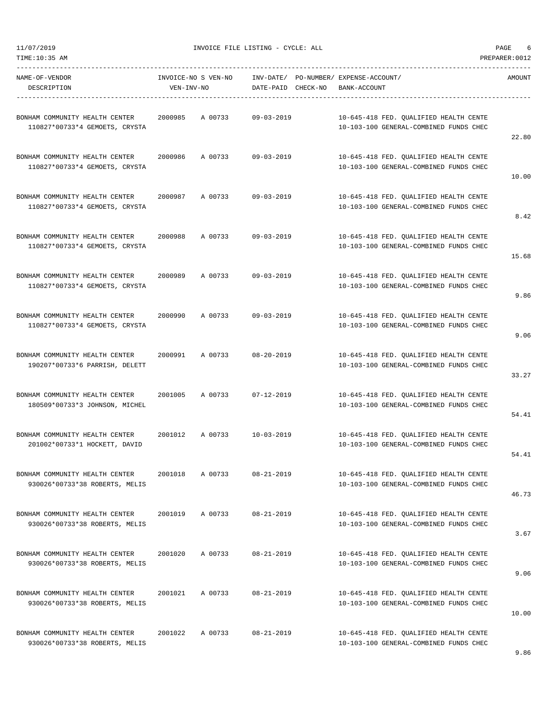11/07/2019 INVOICE FILE LISTING - CYCLE: ALL PAGE 6

----------------------------------------------------------------------------------------------------------------------------------- NAME-OF-VENDOR INVOICE-NO S VEN-NO INV-DATE/ PO-NUMBER/ EXPENSE-ACCOUNT/ AMOUNT

DESCRIPTION VEN-INV-NO DATE-PAID CHECK-NO BANK-ACCOUNT ----------------------------------------------------------------------------------------------------------------------------------- BONHAM COMMUNITY HEALTH CENTER 2000985 A 00733 09-03-2019 10-645-418 FED. QUALIFIED HEALTH CENTE 110827\*00733\*4 GEMOETS, CRYSTA 10-103-100 GENERAL-COMBINED FUNDS CHEC 22.80 BONHAM COMMUNITY HEALTH CENTER 2000986 A 00733 09-03-2019 10-645-418 FED. QUALIFIED HEALTH CENTE 110827\*00733\*4 GEMOETS, CRYSTA 10-103-100 GENERAL-COMBINED FUNDS CHEC 10.00 BONHAM COMMUNITY HEALTH CENTER 2000987 A 00733 09-03-2019 10-645-418 FED. QUALIFIED HEALTH CENTE 110827\*00733\*4 GEMOETS, CRYSTA 10-103-100 GENERAL-COMBINED FUNDS CHEC 8.42 BONHAM COMMUNITY HEALTH CENTER 2000988 A 00733 09-03-2019 10-645-418 FED. QUALIFIED HEALTH CENTE 110827\*00733\*4 GEMOETS, CRYSTA 10-103-100 GENERAL-COMBINED FUNDS CHEC 15.68 BONHAM COMMUNITY HEALTH CENTER 2000989 A 00733 09-03-2019 10-645-418 FED. QUALIFIED HEALTH CENTE 110827\*00733\*4 GEMOETS, CRYSTA 10-103-100 GENERAL-COMBINED FUNDS CHEC 9.86 BONHAM COMMUNITY HEALTH CENTER 2000990 A 00733 09-03-2019 10-645-418 FED. QUALIFIED HEALTH CENTE 110827\*00733\*4 GEMOETS, CRYSTA 10-103-100 GENERAL-COMBINED FUNDS CHEC 9.06 BONHAM COMMUNITY HEALTH CENTER 2000991 A 00733 08-20-2019 10-645-418 FED. QUALIFIED HEALTH CENTE 190207\*00733\*6 PARRISH, DELETT 10-103-100 GENERAL-COMBINED FUNDS CHEC 33.27 BONHAM COMMUNITY HEALTH CENTER 2001005 A 00733 07-12-2019 10-645-418 FED. QUALIFIED HEALTH CENTE 180509\*00733\*3 JOHNSON, MICHEL 10-103-100 GENERAL-COMBINED FUNDS CHEC 54.41 BONHAM COMMUNITY HEALTH CENTER 2001012 A 00733 10-03-2019 10-645-418 FED. QUALIFIED HEALTH CENTE 201002\*00733\*1 HOCKETT, DAVID 10-103-100 GENERAL-COMBINED FUNDS CHEC 54.41 BONHAM COMMUNITY HEALTH CENTER 2001018 A 00733 08-21-2019 10-645-418 FED. QUALIFIED HEALTH CENTE 930026\*00733\*38 ROBERTS, MELIS 10-103-100 GENERAL-COMBINED FUNDS CHEC 46.73 BONHAM COMMUNITY HEALTH CENTER 2001019 A 00733 08-21-2019 10-645-418 FED. QUALIFIED HEALTH CENTE 930026\*00733\*38 ROBERTS, MELIS 10-103-100 GENERAL-COMBINED FUNDS CHEC 3.67 BONHAM COMMUNITY HEALTH CENTER 2001020 A 00733 08-21-2019 10-645-418 FED. QUALIFIED HEALTH CENTE 930026\*00733\*38 ROBERTS, MELIS 10-103-100 GENERAL-COMBINED FUNDS CHEC 9.06 BONHAM COMMUNITY HEALTH CENTER 2001021 A 00733 08-21-2019 10-645-418 FED. QUALIFIED HEALTH CENTE 930026\*00733\*38 ROBERTS, MELIS 10-103-100 GENERAL-COMBINED FUNDS CHEC 10.00 BONHAM COMMUNITY HEALTH CENTER 2001022 A 00733 08-21-2019 10-645-418 FED. QUALIFIED HEALTH CENTE 930026\*00733\*38 ROBERTS, MELIS 10-103-100 GENERAL-COMBINED FUNDS CHEC 9.86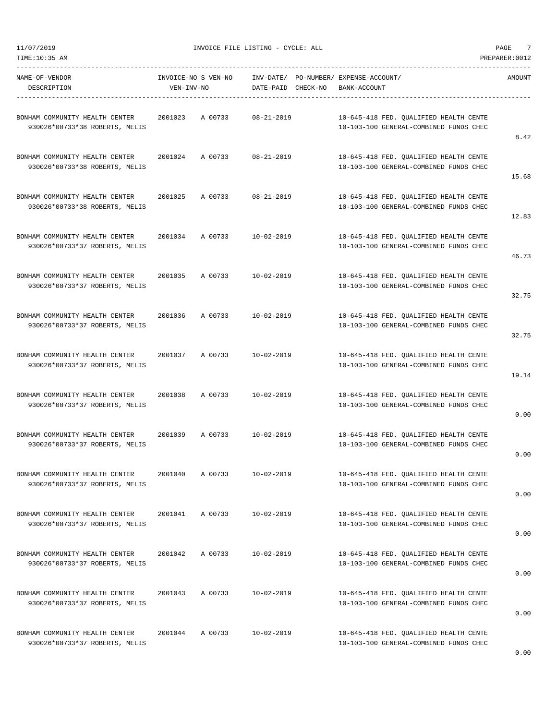11/07/2019 INVOICE FILE LISTING - CYCLE: ALL PAGE 7

----------------------------------------------------------------------------------------------------------------------------------- NAME-OF-VENDOR INVOICE-NO S VEN-NO INV-DATE/ PO-NUMBER/ EXPENSE-ACCOUNT/ AMOUNT

| DESCRIPTION                                                      | VEN-INV-NO |         | DATE-PAID CHECK-NO | BANK-ACCOUNT                                                                     |       |
|------------------------------------------------------------------|------------|---------|--------------------|----------------------------------------------------------------------------------|-------|
| BONHAM COMMUNITY HEALTH CENTER<br>930026*00733*38 ROBERTS, MELIS | 2001023    | A 00733 | $08 - 21 - 2019$   | 10-645-418 FED. OUALIFIED HEALTH CENTE<br>10-103-100 GENERAL-COMBINED FUNDS CHEC | 8.42  |
| BONHAM COMMUNITY HEALTH CENTER<br>930026*00733*38 ROBERTS, MELIS | 2001024    | A 00733 | $08 - 21 - 2019$   | 10-645-418 FED. QUALIFIED HEALTH CENTE<br>10-103-100 GENERAL-COMBINED FUNDS CHEC | 15.68 |
| BONHAM COMMUNITY HEALTH CENTER<br>930026*00733*38 ROBERTS, MELIS | 2001025    | A 00733 | $08 - 21 - 2019$   | 10-645-418 FED. QUALIFIED HEALTH CENTE<br>10-103-100 GENERAL-COMBINED FUNDS CHEC | 12.83 |
| BONHAM COMMUNITY HEALTH CENTER<br>930026*00733*37 ROBERTS, MELIS | 2001034    | A 00733 | $10 - 02 - 2019$   | 10-645-418 FED. QUALIFIED HEALTH CENTE<br>10-103-100 GENERAL-COMBINED FUNDS CHEC | 46.73 |
| BONHAM COMMUNITY HEALTH CENTER<br>930026*00733*37 ROBERTS, MELIS | 2001035    | A 00733 | $10 - 02 - 2019$   | 10-645-418 FED. QUALIFIED HEALTH CENTE<br>10-103-100 GENERAL-COMBINED FUNDS CHEC | 32.75 |
| BONHAM COMMUNITY HEALTH CENTER<br>930026*00733*37 ROBERTS, MELIS | 2001036    | A 00733 | $10 - 02 - 2019$   | 10-645-418 FED. QUALIFIED HEALTH CENTE<br>10-103-100 GENERAL-COMBINED FUNDS CHEC | 32.75 |
| BONHAM COMMUNITY HEALTH CENTER<br>930026*00733*37 ROBERTS, MELIS | 2001037    | A 00733 | $10 - 02 - 2019$   | 10-645-418 FED. QUALIFIED HEALTH CENTE<br>10-103-100 GENERAL-COMBINED FUNDS CHEC | 19.14 |
| BONHAM COMMUNITY HEALTH CENTER<br>930026*00733*37 ROBERTS, MELIS | 2001038    | A 00733 | $10 - 02 - 2019$   | 10-645-418 FED. QUALIFIED HEALTH CENTE<br>10-103-100 GENERAL-COMBINED FUNDS CHEC | 0.00  |
| BONHAM COMMUNITY HEALTH CENTER<br>930026*00733*37 ROBERTS, MELIS | 2001039    | A 00733 | $10 - 02 - 2019$   | 10-645-418 FED. QUALIFIED HEALTH CENTE<br>10-103-100 GENERAL-COMBINED FUNDS CHEC | 0.00  |
| BONHAM COMMUNITY HEALTH CENTER<br>930026*00733*37 ROBERTS, MELIS | 2001040    | A 00733 | $10 - 02 - 2019$   | 10-645-418 FED. QUALIFIED HEALTH CENTE<br>10-103-100 GENERAL-COMBINED FUNDS CHEC | 0.00  |
| BONHAM COMMUNITY HEALTH CENTER<br>930026*00733*37 ROBERTS, MELIS | 2001041    | A 00733 | $10 - 02 - 2019$   | 10-645-418 FED. QUALIFIED HEALTH CENTE<br>10-103-100 GENERAL-COMBINED FUNDS CHEC | 0.00  |
| BONHAM COMMUNITY HEALTH CENTER<br>930026*00733*37 ROBERTS, MELIS | 2001042    | A 00733 | $10 - 02 - 2019$   | 10-645-418 FED. OUALIFIED HEALTH CENTE<br>10-103-100 GENERAL-COMBINED FUNDS CHEC | 0.00  |
| BONHAM COMMUNITY HEALTH CENTER<br>930026*00733*37 ROBERTS, MELIS | 2001043    | A 00733 | $10 - 02 - 2019$   | 10-645-418 FED. QUALIFIED HEALTH CENTE<br>10-103-100 GENERAL-COMBINED FUNDS CHEC | 0.00  |
| BONHAM COMMUNITY HEALTH CENTER<br>930026*00733*37 ROBERTS, MELIS | 2001044    | A 00733 | $10 - 02 - 2019$   | 10-645-418 FED. QUALIFIED HEALTH CENTE<br>10-103-100 GENERAL-COMBINED FUNDS CHEC | 0.00  |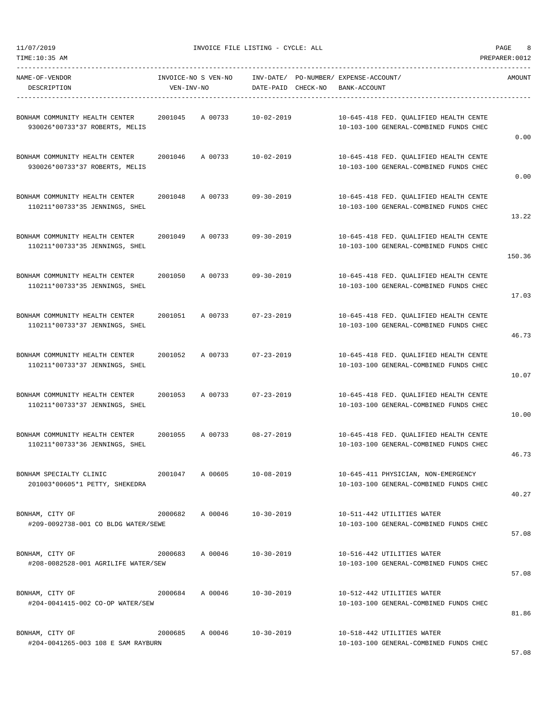11/07/2019 INVOICE FILE LISTING - CYCLE: ALL PAGE 8

----------------------------------------------------------------------------------------------------------------------------------- NAME-OF-VENDOR INVOICE-NO S VEN-NO INV-DATE/ PO-NUMBER/ EXPENSE-ACCOUNT/ AMOUNT

| DESCRIPTION                                                      | VEN-INV-NO |         | DATE-PAID CHECK-NO         | BANK-ACCOUNT                                                                     |        |
|------------------------------------------------------------------|------------|---------|----------------------------|----------------------------------------------------------------------------------|--------|
| BONHAM COMMUNITY HEALTH CENTER<br>930026*00733*37 ROBERTS, MELIS | 2001045    | A 00733 | $10 - 02 - 2019$           | 10-645-418 FED. QUALIFIED HEALTH CENTE<br>10-103-100 GENERAL-COMBINED FUNDS CHEC | 0.00   |
| BONHAM COMMUNITY HEALTH CENTER<br>930026*00733*37 ROBERTS, MELIS | 2001046    | A 00733 | $10 - 02 - 2019$           | 10-645-418 FED. QUALIFIED HEALTH CENTE<br>10-103-100 GENERAL-COMBINED FUNDS CHEC | 0.00   |
| BONHAM COMMUNITY HEALTH CENTER<br>110211*00733*35 JENNINGS, SHEL | 2001048    | A 00733 | $09 - 30 - 2019$           | 10-645-418 FED. QUALIFIED HEALTH CENTE<br>10-103-100 GENERAL-COMBINED FUNDS CHEC | 13.22  |
| BONHAM COMMUNITY HEALTH CENTER<br>110211*00733*35 JENNINGS, SHEL | 2001049    | A 00733 | $09 - 30 - 2019$           | 10-645-418 FED. QUALIFIED HEALTH CENTE<br>10-103-100 GENERAL-COMBINED FUNDS CHEC | 150.36 |
| BONHAM COMMUNITY HEALTH CENTER<br>110211*00733*35 JENNINGS, SHEL | 2001050    | A 00733 | $09 - 30 - 2019$           | 10-645-418 FED. OUALIFIED HEALTH CENTE<br>10-103-100 GENERAL-COMBINED FUNDS CHEC | 17.03  |
| BONHAM COMMUNITY HEALTH CENTER<br>110211*00733*37 JENNINGS, SHEL | 2001051    | A 00733 | $07 - 23 - 2019$           | 10-645-418 FED. QUALIFIED HEALTH CENTE<br>10-103-100 GENERAL-COMBINED FUNDS CHEC | 46.73  |
| BONHAM COMMUNITY HEALTH CENTER<br>110211*00733*37 JENNINGS, SHEL | 2001052    | A 00733 | $07 - 23 - 2019$           | 10-645-418 FED. QUALIFIED HEALTH CENTE<br>10-103-100 GENERAL-COMBINED FUNDS CHEC | 10.07  |
| BONHAM COMMUNITY HEALTH CENTER<br>110211*00733*37 JENNINGS, SHEL | 2001053    | A 00733 | $07 - 23 - 2019$           | 10-645-418 FED. QUALIFIED HEALTH CENTE<br>10-103-100 GENERAL-COMBINED FUNDS CHEC | 10.00  |
| BONHAM COMMUNITY HEALTH CENTER<br>110211*00733*36 JENNINGS, SHEL | 2001055    | A 00733 | $08 - 27 - 2019$           | 10-645-418 FED. QUALIFIED HEALTH CENTE<br>10-103-100 GENERAL-COMBINED FUNDS CHEC | 46.73  |
| BONHAM SPECIALTY CLINIC<br>201003*00605*1 PETTY, SHEKEDRA        | 2001047    | A 00605 | $10 - 08 - 2019$           | 10-645-411 PHYSICIAN, NON-EMERGENCY<br>10-103-100 GENERAL-COMBINED FUNDS CHEC    | 40.27  |
| BONHAM, CITY OF<br>#209-0092738-001 CO BLDG WATER/SEWE           | 2000682    | A 00046 | 10-30-2019                 | 10-511-442 UTILITIES WATER<br>10-103-100 GENERAL-COMBINED FUNDS CHEC             | 57.08  |
| BONHAM, CITY OF<br>#208-0082528-001 AGRILIFE WATER/SEW           |            |         | 2000683 A 00046 10-30-2019 | 10-516-442 UTILITIES WATER<br>10-103-100 GENERAL-COMBINED FUNDS CHEC             | 57.08  |
| BONHAM, CITY OF<br>#204-0041415-002 CO-OP WATER/SEW              | 2000684    | A 00046 | 10-30-2019                 | 10-512-442 UTILITIES WATER<br>10-103-100 GENERAL-COMBINED FUNDS CHEC             | 81.86  |
| BONHAM, CITY OF<br>#204-0041265-003 108 E SAM RAYBURN            |            |         | 2000685 A 00046 10-30-2019 | 10-518-442 UTILITIES WATER<br>10-103-100 GENERAL-COMBINED FUNDS CHEC             | 57.08  |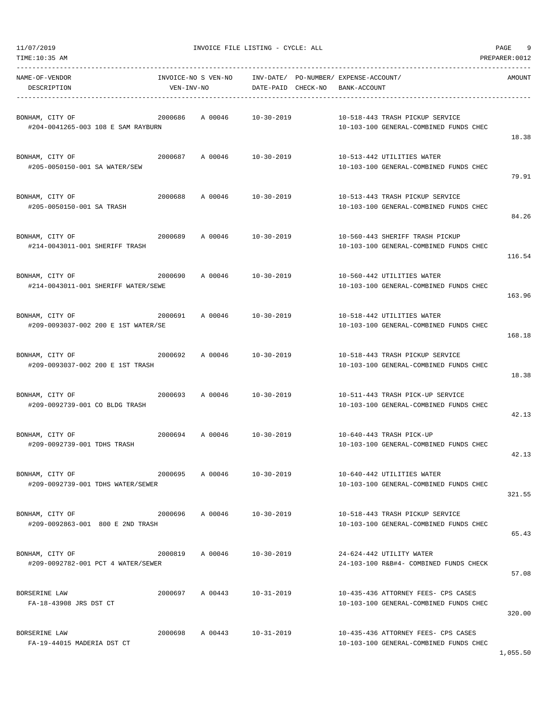| NAME-OF-VENDOR<br>DESCRIPTION                                                        | VEN-INV-NO |                 | INVOICE-NO S VEN-NO INV-DATE/ PO-NUMBER/ EXPENSE-ACCOUNT/<br>DATE-PAID CHECK-NO | BANK-ACCOUNT |                                                                               | AMOUNT |
|--------------------------------------------------------------------------------------|------------|-----------------|---------------------------------------------------------------------------------|--------------|-------------------------------------------------------------------------------|--------|
| BONHAM, CITY OF<br>#204-0041265-003 108 E SAM RAYBURN                                |            | 2000686 A00046  | 10-30-2019                                                                      |              | 10-518-443 TRASH PICKUP SERVICE<br>10-103-100 GENERAL-COMBINED FUNDS CHEC     | 18.38  |
| BONHAM, CITY OF<br>#205-0050150-001 SA WATER/SEW                                     |            |                 | 2000687 A 00046 10-30-2019                                                      |              | 10-513-442 UTILITIES WATER<br>10-103-100 GENERAL-COMBINED FUNDS CHEC          | 79.91  |
| BONHAM, CITY OF<br>#205-0050150-001 SA TRASH                                         | 2000688    |                 | A 00046 10-30-2019                                                              |              | 10-513-443 TRASH PICKUP SERVICE<br>10-103-100 GENERAL-COMBINED FUNDS CHEC     | 84.26  |
| 2000689 A 00046 10-30-2019<br>BONHAM, CITY OF<br>#214-0043011-001 SHERIFF TRASH      |            |                 |                                                                                 |              | 10-560-443 SHERIFF TRASH PICKUP<br>10-103-100 GENERAL-COMBINED FUNDS CHEC     | 116.54 |
| BONHAM, CITY OF<br>#214-0043011-001 SHERIFF WATER/SEWE                               |            |                 | 2000690 A 00046 10-30-2019                                                      |              | 10-560-442 UTILITIES WATER<br>10-103-100 GENERAL-COMBINED FUNDS CHEC          | 163.96 |
| BONHAM, CITY OF<br>2000691 A 00046 10-30-2019<br>#209-0093037-002 200 E 1ST WATER/SE |            |                 |                                                                                 |              | 10-518-442 UTILITIES WATER<br>10-103-100 GENERAL-COMBINED FUNDS CHEC          | 168.18 |
| BONHAM, CITY OF<br>#209-0093037-002 200 E 1ST TRASH                                  | 2000692    |                 | A 00046 10-30-2019                                                              |              | 10-518-443 TRASH PICKUP SERVICE<br>10-103-100 GENERAL-COMBINED FUNDS CHEC     | 18.38  |
| BONHAM, CITY OF<br>#209-0092739-001 CO BLDG TRASH                                    |            |                 | 2000693 A 00046 10-30-2019                                                      |              | 10-511-443 TRASH PICK-UP SERVICE<br>10-103-100 GENERAL-COMBINED FUNDS CHEC    | 42.13  |
| #209-0092739-001 TDHS TRASH                                                          |            |                 |                                                                                 |              | 10-640-443 TRASH PICK-UP<br>10-103-100 GENERAL-COMBINED FUNDS CHEC            | 42.13  |
| BONHAM, CITY OF<br>2000695<br>#209-0092739-001 TDHS WATER/SEWER                      |            | A 00046         | 10-30-2019                                                                      |              | 10-640-442 UTILITIES WATER<br>10-103-100 GENERAL-COMBINED FUNDS CHEC          | 321.55 |
| BONHAM, CITY OF<br>#209-0092863-001 800 E 2ND TRASH                                  |            |                 | 2000696 A 00046 10-30-2019                                                      |              | 10-518-443 TRASH PICKUP SERVICE<br>10-103-100 GENERAL-COMBINED FUNDS CHEC     | 65.43  |
| BONHAM, CITY OF<br>#209-0092782-001 PCT 4 WATER/SEWER                                |            | 2000819 A 00046 | 10-30-2019                                                                      |              | 24-624-442 UTILITY WATER<br>24-103-100 R&B#4- COMBINED FUNDS CHECK            | 57.08  |
| BORSERINE LAW<br>FA-18-43908 JRS DST CT                                              |            | 2000697 A 00443 | 10-31-2019                                                                      |              | 10-435-436 ATTORNEY FEES- CPS CASES<br>10-103-100 GENERAL-COMBINED FUNDS CHEC | 320.00 |
| BORSERINE LAW<br>FA-19-44015 MADERIA DST CT                                          |            |                 | 2000698 A 00443 10-31-2019                                                      |              | 10-435-436 ATTORNEY FEES- CPS CASES<br>10-103-100 GENERAL-COMBINED FUNDS CHEC |        |

1,055.50

## 11/07/2019 INVOICE FILE LISTING - CYCLE: ALL PAGE 9

## TIME:10:35 AM PREPARER:0012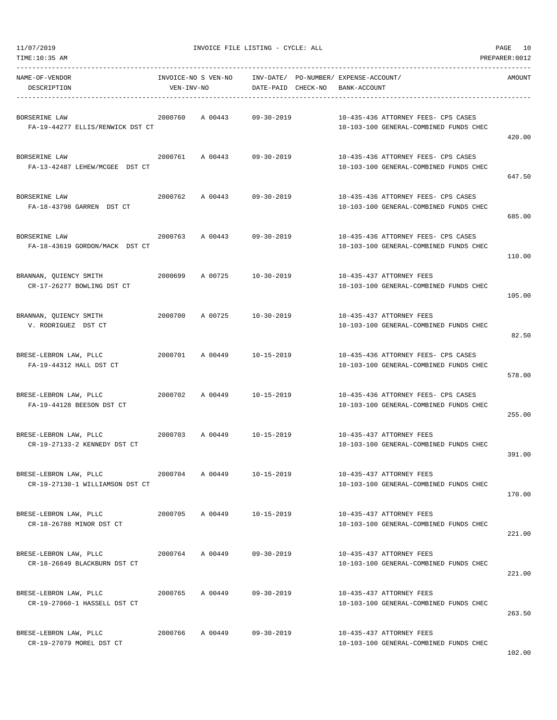| 11/07/2019 |  |
|------------|--|
|            |  |

| TIME:10:35 AM                                             |                                   |         |                    |                                                                               | PREPARER: 0012 |
|-----------------------------------------------------------|-----------------------------------|---------|--------------------|-------------------------------------------------------------------------------|----------------|
| NAME-OF-VENDOR<br>DESCRIPTION                             | INVOICE-NO S VEN-NO<br>VEN-INV-NO |         | DATE-PAID CHECK-NO | INV-DATE/ PO-NUMBER/ EXPENSE-ACCOUNT/<br>BANK-ACCOUNT                         | AMOUNT         |
| BORSERINE LAW<br>FA-19-44277 ELLIS/RENWICK DST CT         | 2000760                           | A 00443 | $09 - 30 - 2019$   | 10-435-436 ATTORNEY FEES- CPS CASES<br>10-103-100 GENERAL-COMBINED FUNDS CHEC | 420.00         |
| BORSERINE LAW<br>FA-13-42487 LEHEW/MCGEE DST CT           | 2000761                           | A 00443 | $09 - 30 - 2019$   | 10-435-436 ATTORNEY FEES- CPS CASES<br>10-103-100 GENERAL-COMBINED FUNDS CHEC | 647.50         |
| BORSERINE LAW<br>FA-18-43798 GARREN DST CT                | 2000762                           | A 00443 | $09 - 30 - 2019$   | 10-435-436 ATTORNEY FEES- CPS CASES<br>10-103-100 GENERAL-COMBINED FUNDS CHEC | 685.00         |
| BORSERINE LAW<br>FA-18-43619 GORDON/MACK DST CT           | 2000763                           | A 00443 | $09 - 30 - 2019$   | 10-435-436 ATTORNEY FEES- CPS CASES<br>10-103-100 GENERAL-COMBINED FUNDS CHEC | 110.00         |
| BRANNAN, QUIENCY SMITH<br>CR-17-26277 BOWLING DST CT      | 2000699                           | A 00725 | $10 - 30 - 2019$   | 10-435-437 ATTORNEY FEES<br>10-103-100 GENERAL-COMBINED FUNDS CHEC            | 105.00         |
| BRANNAN, QUIENCY SMITH<br>V. RODRIGUEZ DST CT             | 2000700                           | A 00725 | $10 - 30 - 2019$   | 10-435-437 ATTORNEY FEES<br>10-103-100 GENERAL-COMBINED FUNDS CHEC            | 82.50          |
| BRESE-LEBRON LAW, PLLC<br>FA-19-44312 HALL DST CT         | 2000701                           | A 00449 | 10-15-2019         | 10-435-436 ATTORNEY FEES- CPS CASES<br>10-103-100 GENERAL-COMBINED FUNDS CHEC | 578.00         |
| BRESE-LEBRON LAW, PLLC<br>FA-19-44128 BEESON DST CT       | 2000702                           | A 00449 | $10 - 15 - 2019$   | 10-435-436 ATTORNEY FEES- CPS CASES<br>10-103-100 GENERAL-COMBINED FUNDS CHEC | 255.00         |
| BRESE-LEBRON LAW, PLLC<br>CR-19-27133-2 KENNEDY DST CT    | 2000703                           | A 00449 | $10 - 15 - 2019$   | 10-435-437 ATTORNEY FEES<br>10-103-100 GENERAL-COMBINED FUNDS CHEC            | 391.00         |
| BRESE-LEBRON LAW, PLLC<br>CR-19-27130-1 WILLIAMSON DST CT | 2000704                           | A 00449 | $10 - 15 - 2019$   | 10-435-437 ATTORNEY FEES<br>10-103-100 GENERAL-COMBINED FUNDS CHEC            | 170.00         |
| BRESE-LEBRON LAW, PLLC<br>CR-18-26788 MINOR DST CT        | 2000705                           | A 00449 | $10 - 15 - 2019$   | 10-435-437 ATTORNEY FEES<br>10-103-100 GENERAL-COMBINED FUNDS CHEC            | 221.00         |
| BRESE-LEBRON LAW, PLLC<br>CR-18-26849 BLACKBURN DST CT    | 2000764                           | A 00449 | $09 - 30 - 2019$   | 10-435-437 ATTORNEY FEES<br>10-103-100 GENERAL-COMBINED FUNDS CHEC            | 221.00         |
| BRESE-LEBRON LAW, PLLC<br>CR-19-27060-1 HASSELL DST CT    | 2000765                           | A 00449 | $09 - 30 - 2019$   | 10-435-437 ATTORNEY FEES<br>10-103-100 GENERAL-COMBINED FUNDS CHEC            | 263.50         |
| BRESE-LEBRON LAW, PLLC<br>CR-19-27079 MOREL DST CT        | 2000766                           | A 00449 | $09 - 30 - 2019$   | 10-435-437 ATTORNEY FEES<br>10-103-100 GENERAL-COMBINED FUNDS CHEC            |                |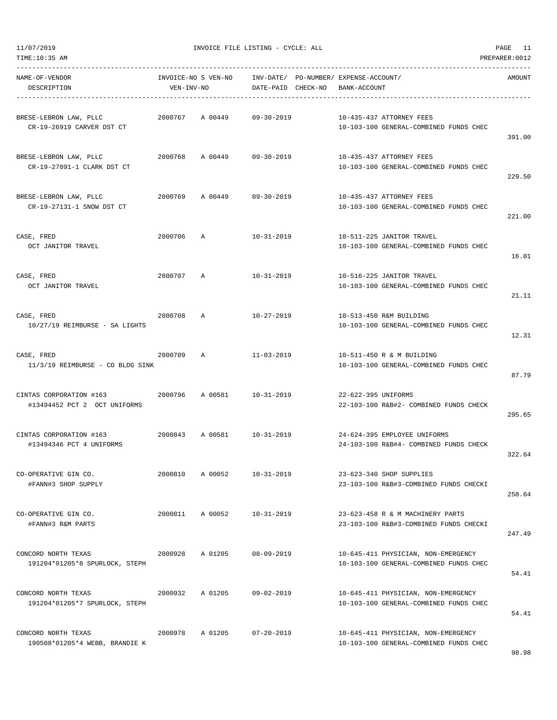| TIME:10:35 AM                                           |                                   |         |                        |          |                                             |                                                                               | PREPARER: 0012 |
|---------------------------------------------------------|-----------------------------------|---------|------------------------|----------|---------------------------------------------|-------------------------------------------------------------------------------|----------------|
| NAME-OF-VENDOR<br>DESCRIPTION                           | INVOICE-NO S VEN-NO<br>VEN-INV-NO |         | INV-DATE/<br>DATE-PAID | CHECK-NO | PO-NUMBER/ EXPENSE-ACCOUNT/<br>BANK-ACCOUNT |                                                                               | AMOUNT         |
| BRESE-LEBRON LAW, PLLC<br>CR-19-26919 CARVER DST CT     | 2000767                           | A 00449 | $09 - 30 - 2019$       |          |                                             | 10-435-437 ATTORNEY FEES<br>10-103-100 GENERAL-COMBINED FUNDS CHEC            | 391.00         |
| BRESE-LEBRON LAW, PLLC<br>CR-19-27091-1 CLARK DST CT    | 2000768                           | A 00449 | $09 - 30 - 2019$       |          |                                             | 10-435-437 ATTORNEY FEES<br>10-103-100 GENERAL-COMBINED FUNDS CHEC            | 229.50         |
| BRESE-LEBRON LAW, PLLC<br>CR-19-27131-1 SNOW DST CT     | 2000769                           | A 00449 | $09 - 30 - 2019$       |          |                                             | 10-435-437 ATTORNEY FEES<br>10-103-100 GENERAL-COMBINED FUNDS CHEC            | 221.00         |
| CASE, FRED<br>OCT JANITOR TRAVEL                        | 2000706                           | A       | $10 - 31 - 2019$       |          |                                             | 10-511-225 JANITOR TRAVEL<br>10-103-100 GENERAL-COMBINED FUNDS CHEC           | 16.01          |
| CASE, FRED<br>OCT JANITOR TRAVEL                        | 2000707                           | Α       | $10 - 31 - 2019$       |          |                                             | 10-516-225 JANITOR TRAVEL<br>10-103-100 GENERAL-COMBINED FUNDS CHEC           | 21.11          |
| CASE, FRED<br>10/27/19 REIMBURSE - SA LIGHTS            | 2000708                           | A       | $10 - 27 - 2019$       |          |                                             | 10-513-450 R&M BUILDING<br>10-103-100 GENERAL-COMBINED FUNDS CHEC             | 12.31          |
| CASE, FRED<br>11/3/19 REIMBURSE - CO BLDG SINK          | 2000709                           | A       | $11 - 03 - 2019$       |          |                                             | 10-511-450 R & M BUILDING<br>10-103-100 GENERAL-COMBINED FUNDS CHEC           | 87.79          |
| CINTAS CORPORATION #163<br>#13494452 PCT 2 OCT UNIFORMS | 2000796                           | A 00581 | $10 - 31 - 2019$       |          | 22-622-395 UNIFORMS                         | 22-103-100 R&B#2- COMBINED FUNDS CHECK                                        | 295.65         |
| CINTAS CORPORATION #163<br>#13494346 PCT 4 UNIFORMS     | 2000843                           | A 00581 | $10 - 31 - 2019$       |          |                                             | 24-624-395 EMPLOYEE UNIFORMS<br>24-103-100 R&B#4- COMBINED FUNDS CHECK        | 322.64         |
| CO-OPERATIVE GIN CO.<br>#FANN#3 SHOP SUPPLY             | 2000810                           | A 00052 | $10 - 31 - 2019$       |          |                                             | 23-623-340 SHOP SUPPLIES<br>23-103-100 R&B#3-COMBINED FUNDS CHECKI            | 258.64         |
| CO-OPERATIVE GIN CO.<br>#FANN#3 R&M PARTS               | 2000811 A 00052                   |         | 10-31-2019             |          |                                             | 23-623-458 R & M MACHINERY PARTS<br>23-103-100 R&B#3-COMBINED FUNDS CHECKI    | 247.49         |
| CONCORD NORTH TEXAS<br>191204*01205*8 SPURLOCK, STEPH   | 2000928                           | A 01205 | $08 - 09 - 2019$       |          |                                             | 10-645-411 PHYSICIAN, NON-EMERGENCY<br>10-103-100 GENERAL-COMBINED FUNDS CHEC | 54.41          |
| CONCORD NORTH TEXAS<br>191204*01205*7 SPURLOCK, STEPH   | 2000932                           | A 01205 | $09 - 02 - 2019$       |          |                                             | 10-645-411 PHYSICIAN, NON-EMERGENCY<br>10-103-100 GENERAL-COMBINED FUNDS CHEC | 54.41          |
| CONCORD NORTH TEXAS<br>190508*01205*4 WEBB, BRANDIE K   | 2000978                           | A 01205 | $07 - 20 - 2019$       |          |                                             | 10-645-411 PHYSICIAN, NON-EMERGENCY<br>10-103-100 GENERAL-COMBINED FUNDS CHEC |                |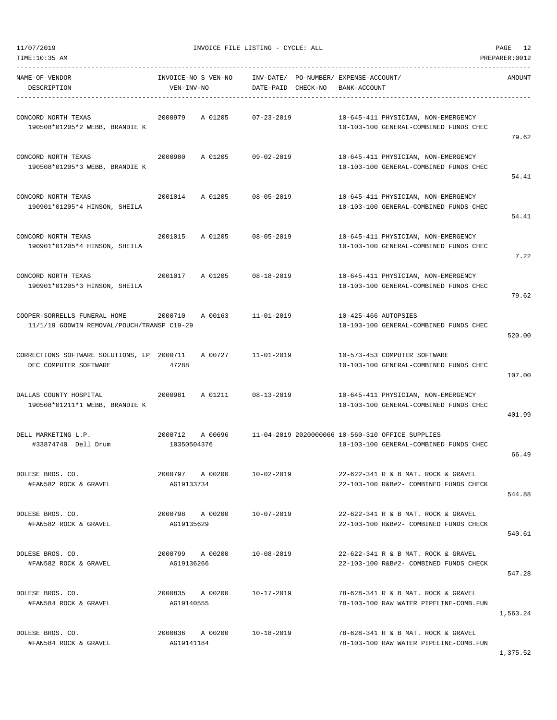| NAME-OF-VENDOR<br>DESCRIPTION                                              | INVOICE-NO S VEN-NO<br>VEN-INV-NO |         | INV-DATE/ PO-NUMBER/ EXPENSE-ACCOUNT/<br>DATE-PAID CHECK-NO | BANK-ACCOUNT         |                                                                                                    | AMOUNT   |
|----------------------------------------------------------------------------|-----------------------------------|---------|-------------------------------------------------------------|----------------------|----------------------------------------------------------------------------------------------------|----------|
| CONCORD NORTH TEXAS<br>190508*01205*2 WEBB, BRANDIE K                      | 2000979                           | A 01205 | $07 - 23 - 2019$                                            |                      | 10-645-411 PHYSICIAN, NON-EMERGENCY<br>10-103-100 GENERAL-COMBINED FUNDS CHEC                      | 79.62    |
| CONCORD NORTH TEXAS<br>190508*01205*3 WEBB, BRANDIE K                      | 2000980                           | A 01205 | 09-02-2019                                                  |                      | 10-645-411 PHYSICIAN, NON-EMERGENCY<br>10-103-100 GENERAL-COMBINED FUNDS CHEC                      | 54.41    |
| CONCORD NORTH TEXAS<br>190901*01205*4 HINSON, SHEILA                       | 2001014                           | A 01205 | $08 - 05 - 2019$                                            |                      | 10-645-411 PHYSICIAN, NON-EMERGENCY<br>10-103-100 GENERAL-COMBINED FUNDS CHEC                      | 54.41    |
| CONCORD NORTH TEXAS<br>190901*01205*4 HINSON, SHEILA                       | 2001015                           | A 01205 | 08-05-2019                                                  |                      | 10-645-411 PHYSICIAN, NON-EMERGENCY<br>10-103-100 GENERAL-COMBINED FUNDS CHEC                      | 7.22     |
| CONCORD NORTH TEXAS<br>190901*01205*3 HINSON, SHEILA                       | 2001017                           |         | A 01205 08-18-2019                                          |                      | 10-645-411 PHYSICIAN, NON-EMERGENCY<br>10-103-100 GENERAL-COMBINED FUNDS CHEC                      | 79.62    |
| COOPER-SORRELLS FUNERAL HOME<br>11/1/19 GODWIN REMOVAL/POUCH/TRANSP C19-29 | 2000710                           | A 00163 | $11 - 01 - 2019$                                            | 10-425-466 AUTOPSIES | 10-103-100 GENERAL-COMBINED FUNDS CHEC                                                             | 520.00   |
| CORRECTIONS SOFTWARE SOLUTIONS, LP 2000711<br>DEC COMPUTER SOFTWARE        | 47288                             | A 00727 | 11-01-2019                                                  |                      | 10-573-453 COMPUTER SOFTWARE<br>10-103-100 GENERAL-COMBINED FUNDS CHEC                             | 107.00   |
| DALLAS COUNTY HOSPITAL<br>190508*01211*1 WEBB, BRANDIE K                   | 2000981                           |         | A 01211 08-13-2019                                          |                      | 10-645-411 PHYSICIAN, NON-EMERGENCY<br>10-103-100 GENERAL-COMBINED FUNDS CHEC                      | 401.99   |
| DELL MARKETING L.P.<br>#33874740 Dell Drum                                 | 2000712<br>10350504376            |         |                                                             |                      | A 00696 11-04-2019 2020000066 10-560-310 OFFICE SUPPLIES<br>10-103-100 GENERAL-COMBINED FUNDS CHEC | 66.49    |
| DOLESE BROS. CO.<br>#FAN582 ROCK & GRAVEL                                  | 2000797<br>AG19133734             | A 00200 | $10 - 02 - 2019$                                            |                      | 22-622-341 R & B MAT. ROCK & GRAVEL<br>22-103-100 R&B#2- COMBINED FUNDS CHECK                      | 544.88   |
| DOLESE BROS. CO.<br>#FAN582 ROCK & GRAVEL                                  | 2000798 A 00200<br>AG19135629     |         | 10-07-2019                                                  |                      | 22-622-341 R & B MAT. ROCK & GRAVEL<br>22-103-100 R&B#2- COMBINED FUNDS CHECK                      | 540.61   |
| DOLESE BROS. CO.<br>#FAN582 ROCK & GRAVEL                                  | 2000799 A 00200<br>AG19136266     |         | 10-08-2019                                                  |                      | 22-622-341 R & B MAT, ROCK & GRAVEL<br>22-103-100 R&B#2- COMBINED FUNDS CHECK                      | 547.28   |
| DOLESE BROS. CO.<br>#FAN584 ROCK & GRAVEL                                  | 2000835 A 00200<br>AG19140555     |         | 10-17-2019                                                  |                      | 78-628-341 R & B MAT. ROCK & GRAVEL<br>78-103-100 RAW WATER PIPELINE-COMB.FUN                      | 1,563.24 |
| DOLESE BROS. CO.<br>#FAN584 ROCK & GRAVEL                                  | 2000836 A 00200<br>AG19141184     |         | 10-18-2019                                                  |                      | 78-628-341 R & B MAT. ROCK & GRAVEL<br>78-103-100 RAW WATER PIPELINE-COMB.FUN                      |          |

1,375.52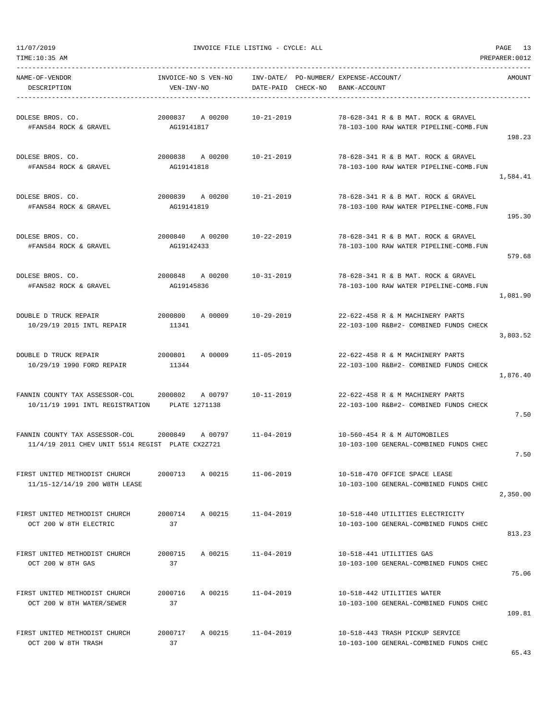| TIME:10:35 AM                                                                              |                                          |         |                            |                                                                          |                                                                               | PREPARER: 0012 |
|--------------------------------------------------------------------------------------------|------------------------------------------|---------|----------------------------|--------------------------------------------------------------------------|-------------------------------------------------------------------------------|----------------|
| NAME-OF-VENDOR<br>DESCRIPTION                                                              | INVOICE-NO S VEN-NO<br>VEN-INV-NO        |         |                            | INV-DATE/ PO-NUMBER/ EXPENSE-ACCOUNT/<br>DATE-PAID CHECK-NO BANK-ACCOUNT |                                                                               | AMOUNT         |
| DOLESE BROS. CO.<br>#FAN584 ROCK & GRAVEL                                                  | 2000837<br>AG19141817                    | A 00200 | 10-21-2019                 |                                                                          | 78-628-341 R & B MAT. ROCK & GRAVEL<br>78-103-100 RAW WATER PIPELINE-COMB.FUN | 198.23         |
| DOLESE BROS. CO.<br>#FAN584 ROCK & GRAVEL                                                  | 2000838 A 00200 10-21-2019<br>AG19141818 |         |                            |                                                                          | 78-628-341 R & B MAT. ROCK & GRAVEL<br>78-103-100 RAW WATER PIPELINE-COMB.FUN | 1,584.41       |
| DOLESE BROS. CO.<br>#FAN584 ROCK & GRAVEL                                                  | 2000839 A 00200<br>AG19141819            |         | 10-21-2019                 |                                                                          | 78-628-341 R & B MAT. ROCK & GRAVEL<br>78-103-100 RAW WATER PIPELINE-COMB.FUN | 195.30         |
| DOLESE BROS. CO.<br>#FAN584 ROCK & GRAVEL                                                  | 2000840 A 00200<br>AG19142433            |         | $10 - 22 - 2019$           |                                                                          | 78-628-341 R & B MAT. ROCK & GRAVEL<br>78-103-100 RAW WATER PIPELINE-COMB.FUN | 579.68         |
| DOLESE BROS. CO.<br>#FAN582 ROCK & GRAVEL                                                  | 2000848 A 00200<br>AG19145836            |         | $10 - 31 - 2019$           |                                                                          | 78-628-341 R & B MAT. ROCK & GRAVEL<br>78-103-100 RAW WATER PIPELINE-COMB.FUN | 1,081.90       |
| DOUBLE D TRUCK REPAIR<br>10/29/19 2015 INTL REPAIR                                         | 2000800<br>11341                         |         | A 00009 10-29-2019         |                                                                          | 22-622-458 R & M MACHINERY PARTS<br>22-103-100 R&B#2- COMBINED FUNDS CHECK    | 3,803.52       |
| DOUBLE D TRUCK REPAIR<br>10/29/19 1990 FORD REPAIR                                         | 11344                                    |         | 2000801 A 00009 11-05-2019 |                                                                          | 22-622-458 R & M MACHINERY PARTS<br>22-103-100 R&B#2- COMBINED FUNDS CHECK    | 1,876.40       |
| FANNIN COUNTY TAX ASSESSOR-COL<br>10/11/19 1991 INTL REGISTRATION PLATE 1271138            | 2000802                                  | A 00797 | $10 - 11 - 2019$           |                                                                          | 22-622-458 R & M MACHINERY PARTS<br>22-103-100 R&B#2- COMBINED FUNDS CHECK    | 7.50           |
| FANNIN COUNTY TAX ASSESSOR-COL 2000849<br>11/4/19 2011 CHEV UNIT 5514 REGIST PLATE CX2Z721 |                                          |         | A 00797 11-04-2019         |                                                                          | 10-560-454 R & M AUTOMOBILES<br>10-103-100 GENERAL-COMBINED FUNDS CHEC        | 7.50           |
| FIRST UNITED METHODIST CHURCH<br>11/15-12/14/19 200 W8TH LEASE                             | 2000713                                  | A 00215 | $11 - 06 - 2019$           |                                                                          | 10-518-470 OFFICE SPACE LEASE<br>10-103-100 GENERAL-COMBINED FUNDS CHEC       | 2,350.00       |
| FIRST UNITED METHODIST CHURCH<br>OCT 200 W 8TH ELECTRIC                                    | 2000714<br>37                            | A 00215 | $11 - 04 - 2019$           |                                                                          | 10-518-440 UTILITIES ELECTRICITY<br>10-103-100 GENERAL-COMBINED FUNDS CHEC    | 813.23         |
| FIRST UNITED METHODIST CHURCH<br>OCT 200 W 8TH GAS                                         | 2000715<br>37                            | A 00215 | $11 - 04 - 2019$           |                                                                          | 10-518-441 UTILITIES GAS<br>10-103-100 GENERAL-COMBINED FUNDS CHEC            | 75.06          |
| FIRST UNITED METHODIST CHURCH<br>OCT 200 W 8TH WATER/SEWER                                 | 2000716<br>37                            | A 00215 | $11 - 04 - 2019$           |                                                                          | 10-518-442 UTILITIES WATER<br>10-103-100 GENERAL-COMBINED FUNDS CHEC          | 109.81         |
| FIRST UNITED METHODIST CHURCH<br>OCT 200 W 8TH TRASH                                       | 2000717<br>37                            | A 00215 | $11 - 04 - 2019$           |                                                                          | 10-518-443 TRASH PICKUP SERVICE<br>10-103-100 GENERAL-COMBINED FUNDS CHEC     |                |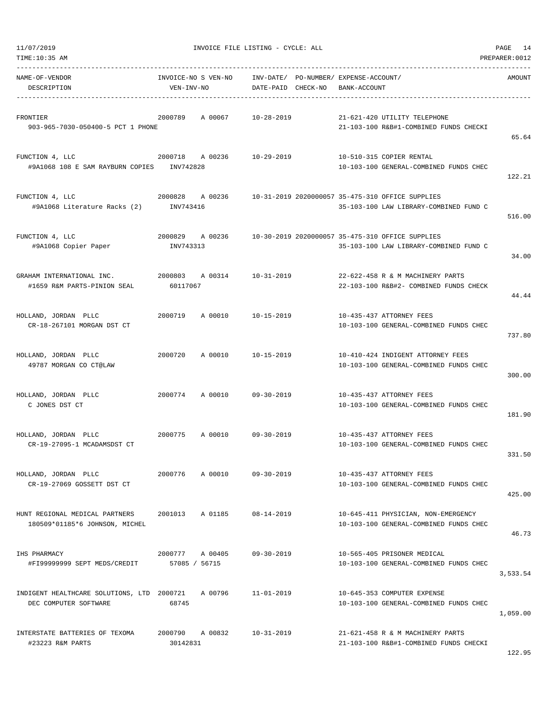| TIME:10:35 AM<br>PREPARER: 0012                                     |                              |         |                                                                                 |  |              |                                                                                            |          |  |  |
|---------------------------------------------------------------------|------------------------------|---------|---------------------------------------------------------------------------------|--|--------------|--------------------------------------------------------------------------------------------|----------|--|--|
| NAME-OF-VENDOR<br>DESCRIPTION                                       | VEN-INV-NO                   |         | INVOICE-NO S VEN-NO INV-DATE/ PO-NUMBER/ EXPENSE-ACCOUNT/<br>DATE-PAID CHECK-NO |  | BANK-ACCOUNT |                                                                                            | AMOUNT   |  |  |
| FRONTIER<br>903-965-7030-050400-5 PCT 1 PHONE                       | 2000789                      | A 00067 | 10-28-2019                                                                      |  |              | 21-621-420 UTILITY TELEPHONE<br>21-103-100 R&B#1-COMBINED FUNDS CHECKI                     | 65.64    |  |  |
| FUNCTION 4, LLC<br>#9A1068 108 E SAM RAYBURN COPIES INV742828       |                              |         | 2000718 A 00236 10-29-2019                                                      |  |              | 10-510-315 COPIER RENTAL<br>10-103-100 GENERAL-COMBINED FUNDS CHEC                         | 122.21   |  |  |
| FUNCTION 4, LLC<br>#9A1068 Literature Racks (2) INV743416           | 2000828 A 00236              |         |                                                                                 |  |              | 10-31-2019 2020000057 35-475-310 OFFICE SUPPLIES<br>35-103-100 LAW LIBRARY-COMBINED FUND C | 516.00   |  |  |
| FUNCTION 4, LLC<br>#9A1068 Copier Paper                             | 2000829 A 00236<br>INV743313 |         |                                                                                 |  |              | 10-30-2019 2020000057 35-475-310 OFFICE SUPPLIES<br>35-103-100 LAW LIBRARY-COMBINED FUND C | 34.00    |  |  |
| GRAHAM INTERNATIONAL INC.<br>#1659 R&M PARTS-PINION SEAL            | 2000803 A 00314<br>60117067  |         | 10-31-2019                                                                      |  |              | 22-622-458 R & M MACHINERY PARTS<br>22-103-100 R&B#2- COMBINED FUNDS CHECK                 | 44.44    |  |  |
| HOLLAND, JORDAN PLLC<br>CR-18-267101 MORGAN DST CT                  | 2000719                      | A 00010 | $10 - 15 - 2019$                                                                |  |              | 10-435-437 ATTORNEY FEES<br>10-103-100 GENERAL-COMBINED FUNDS CHEC                         | 737.80   |  |  |
| HOLLAND, JORDAN PLLC<br>49787 MORGAN CO CT@LAW                      | 2000720                      | A 00010 | 10-15-2019                                                                      |  |              | 10-410-424 INDIGENT ATTORNEY FEES<br>10-103-100 GENERAL-COMBINED FUNDS CHEC                | 300.00   |  |  |
| HOLLAND, JORDAN PLLC<br>C JONES DST CT                              | 2000774                      | A 00010 | $09 - 30 - 2019$                                                                |  |              | 10-435-437 ATTORNEY FEES<br>10-103-100 GENERAL-COMBINED FUNDS CHEC                         | 181.90   |  |  |
| HOLLAND, JORDAN PLLC<br>CR-19-27095-1 MCADAMSDST CT                 | 2000775                      | A 00010 | $09 - 30 - 2019$                                                                |  |              | 10-435-437 ATTORNEY FEES<br>10-103-100 GENERAL-COMBINED FUNDS CHEC                         | 331.50   |  |  |
| HOLLAND, JORDAN PLLC<br>CR-19-27069 GOSSETT DST CT                  | 2000776                      | A 00010 | $09 - 30 - 2019$                                                                |  |              | 10-435-437 ATTORNEY FEES<br>10-103-100 GENERAL-COMBINED FUNDS CHEC                         | 425.00   |  |  |
| HUNT REGIONAL MEDICAL PARTNERS<br>180509*01185*6 JOHNSON, MICHEL    | 2001013                      | A 01185 | $08 - 14 - 2019$                                                                |  |              | 10-645-411 PHYSICIAN, NON-EMERGENCY<br>10-103-100 GENERAL-COMBINED FUNDS CHEC              | 46.73    |  |  |
| IHS PHARMACY<br>#FI99999999 SEPT MEDS/CREDIT                        | 2000777<br>57085 / 56715     | A 00405 | $09 - 30 - 2019$                                                                |  |              | 10-565-405 PRISONER MEDICAL<br>10-103-100 GENERAL-COMBINED FUNDS CHEC                      | 3,533.54 |  |  |
| INDIGENT HEALTHCARE SOLUTIONS, LTD 2000721<br>DEC COMPUTER SOFTWARE | 68745                        | A 00796 | $11 - 01 - 2019$                                                                |  |              | 10-645-353 COMPUTER EXPENSE<br>10-103-100 GENERAL-COMBINED FUNDS CHEC                      | 1,059.00 |  |  |
| INTERSTATE BATTERIES OF TEXOMA<br>#23223 R&M PARTS                  | 2000790<br>30142831          | A 00832 | $10 - 31 - 2019$                                                                |  |              | 21-621-458 R & M MACHINERY PARTS<br>21-103-100 R&B#1-COMBINED FUNDS CHECKI                 | 122.95   |  |  |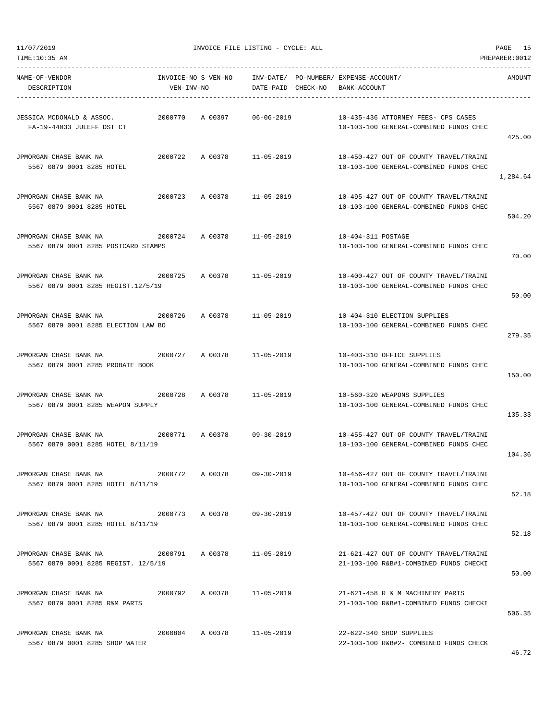TIME:10:35 AM PREPARER:0012 -----------------------------------------------------------------------------------------------------------------------------------

| NAME-OF-VENDOR<br>DESCRIPTION                                                           | INVOICE-NO S VEN-NO<br>VEN-INV-NO |                            |            | INV-DATE/ PO-NUMBER/ EXPENSE-ACCOUNT/<br>DATE-PAID CHECK-NO BANK-ACCOUNT |                                                                                                             | AMOUNT   |
|-----------------------------------------------------------------------------------------|-----------------------------------|----------------------------|------------|--------------------------------------------------------------------------|-------------------------------------------------------------------------------------------------------------|----------|
| JESSICA MCDONALD & ASSOC.<br>FA-19-44033 JULEFF DST CT                                  | 2000770                           | A 00397                    | 06-06-2019 |                                                                          | 10-435-436 ATTORNEY FEES- CPS CASES<br>10-103-100 GENERAL-COMBINED FUNDS CHEC                               | 425.00   |
| JPMORGAN CHASE BANK NA<br>5567 0879 0001 8285 HOTEL                                     | 2000722                           | A 00378 11-05-2019         |            |                                                                          | 10-450-427 OUT OF COUNTY TRAVEL/TRAINI<br>10-103-100 GENERAL-COMBINED FUNDS CHEC                            | 1,284.64 |
| JPMORGAN CHASE BANK NA<br>2000723<br>5567 0879 0001 8285 HOTEL                          |                                   | A 00378 11-05-2019         |            |                                                                          | 10-495-427 OUT OF COUNTY TRAVEL/TRAINI<br>10-103-100 GENERAL-COMBINED FUNDS CHEC                            | 504.20   |
| JPMORGAN CHASE BANK NA<br>5567 0879 0001 8285 POSTCARD STAMPS                           | 2000724                           | A 00378                    | 11-05-2019 | 10-404-311 POSTAGE                                                       | 10-103-100 GENERAL-COMBINED FUNDS CHEC                                                                      | 70.00    |
| JPMORGAN CHASE BANK NA<br>5567 0879 0001 8285 REGIST.12/5/19                            | 2000725                           | A 00378                    | 11-05-2019 |                                                                          | 10-400-427 OUT OF COUNTY TRAVEL/TRAINI<br>10-103-100 GENERAL-COMBINED FUNDS CHEC                            | 50.00    |
| JPMORGAN CHASE BANK NA<br>2000726<br>5567 0879 0001 8285 ELECTION LAW BO                |                                   | A 00378 11-05-2019         |            |                                                                          | 10-404-310 ELECTION SUPPLIES<br>10-103-100 GENERAL-COMBINED FUNDS CHEC                                      | 279.35   |
| 2000727<br>JPMORGAN CHASE BANK NA<br>5567 0879 0001 8285 PROBATE BOOK                   |                                   | A 00378                    | 11-05-2019 |                                                                          | 10-403-310 OFFICE SUPPLIES<br>10-103-100 GENERAL-COMBINED FUNDS CHEC                                        | 150.00   |
| JPMORGAN CHASE BANK NA<br>5567 0879 0001 8285 WEAPON SUPPLY                             | 2000728                           | A 00378                    | 11-05-2019 |                                                                          | 10-560-320 WEAPONS SUPPLIES<br>10-103-100 GENERAL-COMBINED FUNDS CHEC                                       | 135.33   |
| 2000771<br>JPMORGAN CHASE BANK NA<br>5567 0879 0001 8285 HOTEL 8/11/19                  |                                   | A 00378 09-30-2019         |            |                                                                          | 10-455-427 OUT OF COUNTY TRAVEL/TRAINI<br>10-103-100 GENERAL-COMBINED FUNDS CHEC                            | 104.36   |
| JPMORGAN CHASE BANK NA<br>5567 0879 0001 8285 HOTEL 8/11/19                             |                                   |                            |            |                                                                          | 2000772 A 00378 09-30-2019 10-456-427 OUT OF COUNTY TRAVEL/TRAINI<br>10-103-100 GENERAL-COMBINED FUNDS CHEC | 52.18    |
| JPMORGAN CHASE BANK NA 52000773 A 00378 09-30-2019<br>5567 0879 0001 8285 HOTEL 8/11/19 |                                   |                            |            |                                                                          | 10-457-427 OUT OF COUNTY TRAVEL/TRAINI<br>10-103-100 GENERAL-COMBINED FUNDS CHEC                            | 52.18    |
| JPMORGAN CHASE BANK NA<br>5567 0879 0001 8285 REGIST, 12/5/19                           |                                   | 2000791 A 00378 11-05-2019 |            |                                                                          | 21-621-427 OUT OF COUNTY TRAVEL/TRAINI<br>21-103-100 R&B#1-COMBINED FUNDS CHECKI                            | 50.00    |
| JPMORGAN CHASE BANK NA<br>5567 0879 0001 8285 R&M PARTS                                 |                                   | 2000792 A 00378 11-05-2019 |            |                                                                          | 21-621-458 R & M MACHINERY PARTS<br>21-103-100 R&B#1-COMBINED FUNDS CHECKI                                  | 506.35   |
| JPMORGAN CHASE BANK NA<br>5567 0879 0001 8285 SHOP WATER                                |                                   | 2000804 A 00378 11-05-2019 |            |                                                                          | 22-622-340 SHOP SUPPLIES<br>22-103-100 R&B#2- COMBINED FUNDS CHECK                                          |          |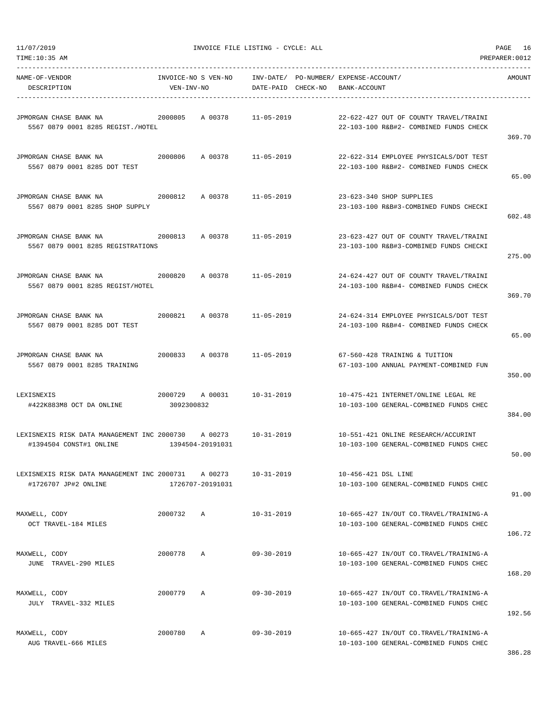| TIME:10:35 AM                                                          |                                   |                             |                    |                                                                                  | PREPARER: 0012 |
|------------------------------------------------------------------------|-----------------------------------|-----------------------------|--------------------|----------------------------------------------------------------------------------|----------------|
| NAME-OF-VENDOR<br>DESCRIPTION                                          | INVOICE-NO S VEN-NO<br>VEN-INV-NO |                             | DATE-PAID CHECK-NO | INV-DATE/ PO-NUMBER/ EXPENSE-ACCOUNT/<br>BANK-ACCOUNT                            | AMOUNT         |
| JPMORGAN CHASE BANK NA<br>5567 0879 0001 8285 REGIST./HOTEL            | 2000805                           | A 00378                     | $11 - 05 - 2019$   | 22-622-427 OUT OF COUNTY TRAVEL/TRAINI<br>22-103-100 R&B#2- COMBINED FUNDS CHECK | 369.70         |
| JPMORGAN CHASE BANK NA<br>5567 0879 0001 8285 DOT TEST                 | 2000806                           | A 00378                     | 11-05-2019         | 22-622-314 EMPLOYEE PHYSICALS/DOT TEST<br>22-103-100 R&B#2- COMBINED FUNDS CHECK | 65.00          |
| JPMORGAN CHASE BANK NA<br>5567 0879 0001 8285 SHOP SUPPLY              | 2000812                           | A 00378                     | 11-05-2019         | 23-623-340 SHOP SUPPLIES<br>23-103-100 R&B#3-COMBINED FUNDS CHECKI               | 602.48         |
| JPMORGAN CHASE BANK NA<br>5567 0879 0001 8285 REGISTRATIONS            | 2000813                           | A 00378                     | 11-05-2019         | 23-623-427 OUT OF COUNTY TRAVEL/TRAINI<br>23-103-100 R&B#3-COMBINED FUNDS CHECKI | 275.00         |
| JPMORGAN CHASE BANK NA<br>5567 0879 0001 8285 REGIST/HOTEL             | 2000820                           | A 00378                     | $11 - 05 - 2019$   | 24-624-427 OUT OF COUNTY TRAVEL/TRAINI<br>24-103-100 R&B#4- COMBINED FUNDS CHECK | 369.70         |
| JPMORGAN CHASE BANK NA<br>5567 0879 0001 8285 DOT TEST                 | 2000821                           | A 00378                     | 11-05-2019         | 24-624-314 EMPLOYEE PHYSICALS/DOT TEST<br>24-103-100 R&B#4- COMBINED FUNDS CHECK | 65.00          |
| JPMORGAN CHASE BANK NA<br>5567 0879 0001 8285 TRAINING                 | 2000833                           | A 00378                     | $11 - 05 - 2019$   | 67-560-428 TRAINING & TUITION<br>67-103-100 ANNUAL PAYMENT-COMBINED FUN          | 350.00         |
| LEXISNEXIS<br>#422K883M8 OCT DA ONLINE                                 | 2000729<br>3092300832             | A 00031                     | 10-31-2019         | 10-475-421 INTERNET/ONLINE LEGAL RE<br>10-103-100 GENERAL-COMBINED FUNDS CHEC    | 384.00         |
| LEXISNEXIS RISK DATA MANAGEMENT INC 2000730<br>#1394504 CONST#1 ONLINE |                                   | A 00273<br>1394504-20191031 | $10 - 31 - 2019$   | 10-551-421 ONLINE RESEARCH/ACCURINT<br>10-103-100 GENERAL-COMBINED FUNDS CHEC    | 50.00          |
| LEXISNEXIS RISK DATA MANAGEMENT INC 2000731<br>#1726707 JP#2 ONLINE    |                                   | A 00273<br>1726707-20191031 | $10 - 31 - 2019$   | 10-456-421 DSL LINE<br>10-103-100 GENERAL-COMBINED FUNDS CHEC                    | 91.00          |
| MAXWELL, CODY<br>OCT TRAVEL-184 MILES                                  | 2000732                           | $\mathbb{A}$                | $10 - 31 - 2019$   | 10-665-427 IN/OUT CO.TRAVEL/TRAINING-A<br>10-103-100 GENERAL-COMBINED FUNDS CHEC | 106.72         |
| MAXWELL, CODY<br>JUNE TRAVEL-290 MILES                                 | 2000778                           | $\mathbb{A}$                | $09 - 30 - 2019$   | 10-665-427 IN/OUT CO.TRAVEL/TRAINING-A<br>10-103-100 GENERAL-COMBINED FUNDS CHEC | 168.20         |
| MAXWELL, CODY<br>JULY TRAVEL-332 MILES                                 | 2000779                           | Α                           | $09 - 30 - 2019$   | 10-665-427 IN/OUT CO.TRAVEL/TRAINING-A<br>10-103-100 GENERAL-COMBINED FUNDS CHEC | 192.56         |
| MAXWELL, CODY<br>AUG TRAVEL-666 MILES                                  | 2000780                           | Α                           | $09 - 30 - 2019$   | 10-665-427 IN/OUT CO.TRAVEL/TRAINING-A<br>10-103-100 GENERAL-COMBINED FUNDS CHEC |                |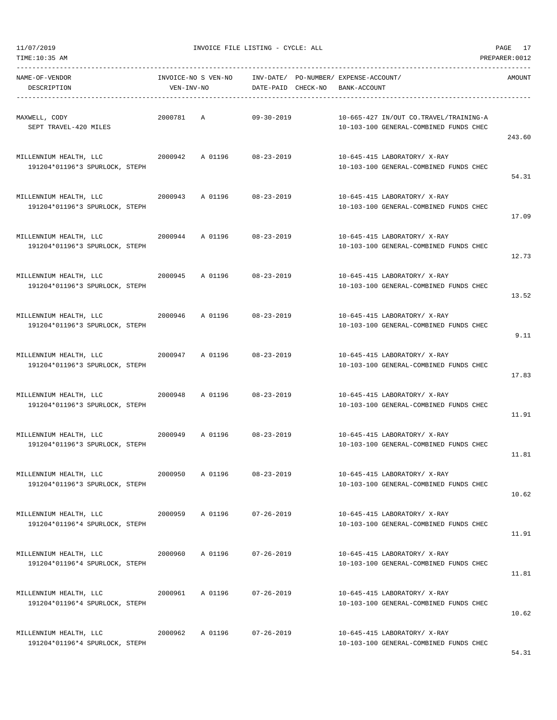11/07/2019 INVOICE FILE LISTING - CYCLE: ALL PAGE 17

| NAME-OF-VENDOR<br>DESCRIPTION                            | VEN-INV-NO |                 |                            | INVOICE-NO S VEN-NO INV-DATE/ PO-NUMBER/ EXPENSE-ACCOUNT/<br>DATE-PAID CHECK-NO BANK-ACCOUNT | AMOUNT |
|----------------------------------------------------------|------------|-----------------|----------------------------|----------------------------------------------------------------------------------------------|--------|
| MAXWELL, CODY<br>SEPT TRAVEL-420 MILES                   | 2000781 A  |                 | 09-30-2019                 | 10-665-427 IN/OUT CO.TRAVEL/TRAINING-A<br>10-103-100 GENERAL-COMBINED FUNDS CHEC             | 243.60 |
| 191204*01196*3 SPURLOCK, STEPH                           |            |                 |                            | 10-645-415 LABORATORY/ X-RAY<br>10-103-100 GENERAL-COMBINED FUNDS CHEC                       | 54.31  |
| MILLENNIUM HEALTH, LLC<br>191204*01196*3 SPURLOCK, STEPH |            |                 | 2000943 A 01196 08-23-2019 | 10-645-415 LABORATORY/ X-RAY<br>10-103-100 GENERAL-COMBINED FUNDS CHEC                       | 17.09  |
| 191204*01196*3 SPURLOCK, STEPH                           |            |                 |                            | 10-645-415 LABORATORY/ X-RAY<br>10-103-100 GENERAL-COMBINED FUNDS CHEC                       | 12.73  |
| MILLENNIUM HEALTH, LLC<br>191204*01196*3 SPURLOCK, STEPH |            |                 | 2000945 A 01196 08-23-2019 | 10-645-415 LABORATORY/ X-RAY<br>10-103-100 GENERAL-COMBINED FUNDS CHEC                       | 13.52  |
| 191204*01196*3 SPURLOCK, STEPH                           |            |                 |                            | 10-645-415 LABORATORY/ X-RAY<br>10-103-100 GENERAL-COMBINED FUNDS CHEC                       | 9.11   |
| MILLENNIUM HEALTH, LLC<br>191204*01196*3 SPURLOCK, STEPH |            |                 | 2000947 A 01196 08-23-2019 | 10-645-415 LABORATORY/ X-RAY<br>10-103-100 GENERAL-COMBINED FUNDS CHEC                       | 17.83  |
| 191204*01196*3 SPURLOCK, STEPH                           |            |                 |                            | 10-645-415 LABORATORY/ X-RAY<br>10-103-100 GENERAL-COMBINED FUNDS CHEC                       | 11.91  |
| 191204*01196*3 SPURLOCK, STEPH                           |            |                 |                            | 10-645-415 LABORATORY/ X-RAY<br>10-103-100 GENERAL-COMBINED FUNDS CHEC                       | 11.81  |
| MILLENNIUM HEALTH, LLC<br>191204*01196*3 SPURLOCK, STEPH | 2000950    | A 01196         | 08-23-2019                 | 10-645-415 LABORATORY/ X-RAY<br>10-103-100 GENERAL-COMBINED FUNDS CHEC                       | 10.62  |
| MILLENNIUM HEALTH, LLC<br>191204*01196*4 SPURLOCK, STEPH |            |                 | 2000959 A 01196 07-26-2019 | 10-645-415 LABORATORY/ X-RAY<br>10-103-100 GENERAL-COMBINED FUNDS CHEC                       | 11.91  |
| MILLENNIUM HEALTH, LLC<br>191204*01196*4 SPURLOCK, STEPH | 2000960    | A 01196         | $07 - 26 - 2019$           | 10-645-415 LABORATORY/ X-RAY<br>10-103-100 GENERAL-COMBINED FUNDS CHEC                       | 11.81  |
| MILLENNIUM HEALTH, LLC<br>191204*01196*4 SPURLOCK, STEPH |            | 2000961 A 01196 | 07-26-2019                 | 10-645-415 LABORATORY/ X-RAY<br>10-103-100 GENERAL-COMBINED FUNDS CHEC                       | 10.62  |
| MILLENNIUM HEALTH, LLC<br>191204*01196*4 SPURLOCK, STEPH | 2000962    |                 | A 01196 07-26-2019         | 10-645-415 LABORATORY/ X-RAY<br>10-103-100 GENERAL-COMBINED FUNDS CHEC                       |        |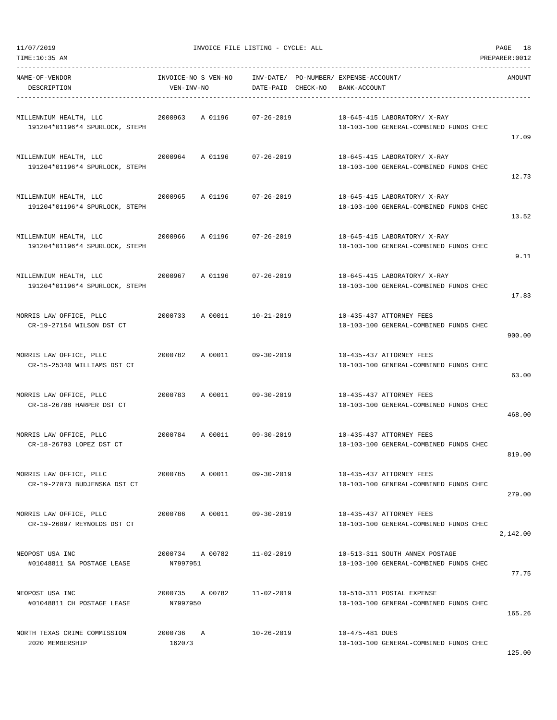| NAME-OF-VENDOR<br>DESCRIPTION                                       | VEN-INV-NO                  | INVOICE-NO S VEN-NO    INV-DATE/ PO-NUMBER/ EXPENSE-ACCOUNT/<br>DATE-PAID CHECK-NO BANK-ACCOUNT |                                                                          | AMOUNT   |
|---------------------------------------------------------------------|-----------------------------|-------------------------------------------------------------------------------------------------|--------------------------------------------------------------------------|----------|
| MILLENNIUM HEALTH, LLC<br>191204*01196*4 SPURLOCK, STEPH            | 2000963                     | A 01196<br>07-26-2019                                                                           | 10-645-415 LABORATORY/ X-RAY<br>10-103-100 GENERAL-COMBINED FUNDS CHEC   | 17.09    |
| MILLENNIUM HEALTH, LLC<br>191204*01196*4 SPURLOCK, STEPH            |                             | 2000964 A 01196 07-26-2019                                                                      | 10-645-415 LABORATORY/ X-RAY<br>10-103-100 GENERAL-COMBINED FUNDS CHEC   | 12.73    |
| MILLENNIUM HEALTH, LLC<br>191204*01196*4 SPURLOCK, STEPH            | 2000965                     | A 01196 07-26-2019                                                                              | 10-645-415 LABORATORY/ X-RAY<br>10-103-100 GENERAL-COMBINED FUNDS CHEC   | 13.52    |
| MILLENNIUM HEALTH, LLC<br>2000966<br>191204*01196*4 SPURLOCK, STEPH |                             | A 01196 07-26-2019                                                                              | 10-645-415 LABORATORY/ X-RAY<br>10-103-100 GENERAL-COMBINED FUNDS CHEC   | 9.11     |
| MILLENNIUM HEALTH, LLC<br>191204*01196*4 SPURLOCK, STEPH            | 2000967                     | A 01196 07-26-2019                                                                              | 10-645-415 LABORATORY/ X-RAY<br>10-103-100 GENERAL-COMBINED FUNDS CHEC   | 17.83    |
| MORRIS LAW OFFICE, PLLC<br>CR-19-27154 WILSON DST CT                |                             | 2000733 A 00011 10-21-2019                                                                      | 10-435-437 ATTORNEY FEES<br>10-103-100 GENERAL-COMBINED FUNDS CHEC       | 900.00   |
| MORRIS LAW OFFICE, PLLC<br>CR-15-25340 WILLIAMS DST CT              |                             | 2000782 A 00011 09-30-2019                                                                      | 10-435-437 ATTORNEY FEES<br>10-103-100 GENERAL-COMBINED FUNDS CHEC       | 63.00    |
| MORRIS LAW OFFICE, PLLC<br>CR-18-26708 HARPER DST CT                | 2000783                     | A 00011 09-30-2019                                                                              | 10-435-437 ATTORNEY FEES<br>10-103-100 GENERAL-COMBINED FUNDS CHEC       | 468.00   |
| MORRIS LAW OFFICE, PLLC<br>CR-18-26793 LOPEZ DST CT                 |                             | 2000784 A 00011 09-30-2019                                                                      | 10-435-437 ATTORNEY FEES<br>10-103-100 GENERAL-COMBINED FUNDS CHEC       | 819.00   |
| MORRIS LAW OFFICE, PLLC<br>CR-19-27073 BUDJENSKA DST CT             | 2000785 A 00011             | $09 - 30 - 2019$                                                                                | 10-435-437 ATTORNEY FEES<br>10-103-100 GENERAL-COMBINED FUNDS CHEC       | 279.00   |
| MORRIS LAW OFFICE, PLLC<br>CR-19-26897 REYNOLDS DST CT              | 2000786                     | A 00011 09-30-2019                                                                              | 10-435-437 ATTORNEY FEES<br>10-103-100 GENERAL-COMBINED FUNDS CHEC       | 2,142.00 |
| NEOPOST USA INC<br>#01048811 SA POSTAGE LEASE                       | 2000734 A 00782<br>N7997951 | $11 - 02 - 2019$                                                                                | 10-513-311 SOUTH ANNEX POSTAGE<br>10-103-100 GENERAL-COMBINED FUNDS CHEC | 77.75    |
| NEOPOST USA INC<br>#01048811 CH POSTAGE LEASE                       | 2000735 A 00782<br>N7997950 | $11 - 02 - 2019$                                                                                | 10-510-311 POSTAL EXPENSE<br>10-103-100 GENERAL-COMBINED FUNDS CHEC      | 165.26   |
| NORTH TEXAS CRIME COMMISSION<br>2020 MEMBERSHIP                     | 2000736 A<br>162073         | $10 - 26 - 2019$                                                                                | 10-475-481 DUES<br>10-103-100 GENERAL-COMBINED FUNDS CHEC                | 125.00   |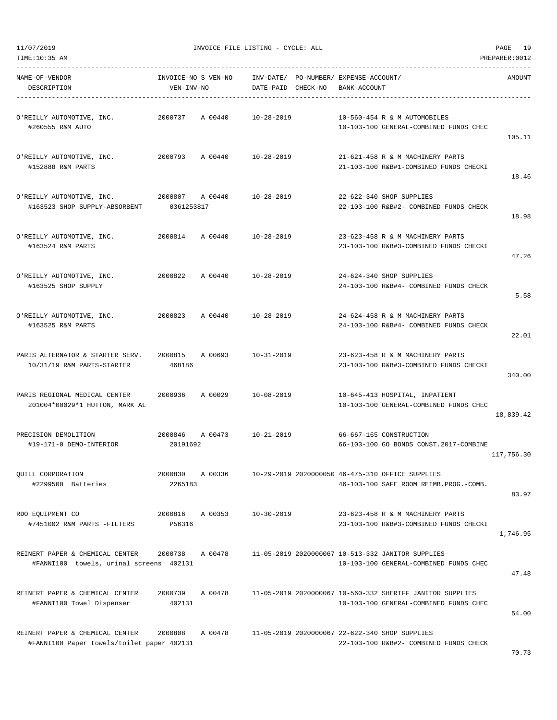-----------------------------------------------------------------------------------------------------------------------------------

| NAME-OF-VENDOR                                                                |                                        | INVOICE-NO S VEN-NO INV-DATE/ PO-NUMBER/ EXPENSE-ACCOUNT/ |                                                                                                               | AMOUNT     |
|-------------------------------------------------------------------------------|----------------------------------------|-----------------------------------------------------------|---------------------------------------------------------------------------------------------------------------|------------|
| DESCRIPTION                                                                   | VEN-INV-NO                             | DATE-PAID CHECK-NO BANK-ACCOUNT                           |                                                                                                               |            |
| O'REILLY AUTOMOTIVE, INC.<br>#260555 R&M AUTO                                 | 2000737 A 00440                        | 10-28-2019                                                | 10-560-454 R & M AUTOMOBILES<br>10-103-100 GENERAL-COMBINED FUNDS CHEC                                        | 105.11     |
| O'REILLY AUTOMOTIVE, INC.<br>#152888 R&M PARTS                                | 2000793 A 00440 10-28-2019             |                                                           | 21-621-458 R & M MACHINERY PARTS<br>21-103-100 R&B#1-COMBINED FUNDS CHECKI                                    | 18.46      |
| O'REILLY AUTOMOTIVE, INC.<br>#163523 SHOP SUPPLY-ABSORBENT                    | 2000807<br>A 00440<br>0361253817       | $10 - 28 - 2019$                                          | 22-622-340 SHOP SUPPLIES<br>22-103-100 R&B#2- COMBINED FUNDS CHECK                                            | 18.98      |
| O'REILLY AUTOMOTIVE, INC.<br>#163524 R&M PARTS                                | 2000814 A 00440                        | $10 - 28 - 2019$                                          | 23-623-458 R & M MACHINERY PARTS<br>23-103-100 R&B#3-COMBINED FUNDS CHECKI                                    | 47.26      |
| O'REILLY AUTOMOTIVE, INC.<br>#163525 SHOP SUPPLY                              | 2000822 A 00440                        | 10-28-2019                                                | 24-624-340 SHOP SUPPLIES<br>24-103-100 R&B#4- COMBINED FUNDS CHECK                                            | 5.58       |
| O'REILLY AUTOMOTIVE, INC.<br>#163525 R&M PARTS                                | A 00440<br>2000823                     | 10-28-2019                                                | 24-624-458 R & M MACHINERY PARTS<br>24-103-100 R&B#4- COMBINED FUNDS CHECK                                    | 22.01      |
| PARIS ALTERNATOR & STARTER SERV.<br>10/31/19 R&M PARTS-STARTER                | 2000815<br>A 00693<br>468186           | 10-31-2019                                                | 23-623-458 R & M MACHINERY PARTS<br>23-103-100 R&B#3-COMBINED FUNDS CHECKI                                    | 340.00     |
| PARIS REGIONAL MEDICAL CENTER<br>201004*00029*1 HUTTON, MARK AL               | 2000936<br>A 00029                     | 10-08-2019                                                | 10-645-413 HOSPITAL, INPATIENT<br>10-103-100 GENERAL-COMBINED FUNDS CHEC                                      | 18,839.42  |
| PRECISION DEMOLITION<br>#19-171-0 DEMO-INTERIOR                               | 2000846 A 00473 10-21-2019<br>20191692 |                                                           | 66-667-165 CONSTRUCTION<br>66-103-100 GO BONDS CONST.2017-COMBINE                                             | 117,756.30 |
| QUILL CORPORATION<br>#2299500 Batteries                                       | 2265183                                |                                                           | 2000830 A 00336 10-29-2019 2020000050 46-475-310 OFFICE SUPPLIES<br>46-103-100 SAFE ROOM REIMB. PROG. - COMB. | 83.97      |
| RDO EQUIPMENT CO<br>#7451002 R&M PARTS -FILTERS                               | 2000816<br>A 00353<br>P56316           | $10 - 30 - 2019$                                          | 23-623-458 R & M MACHINERY PARTS<br>23-103-100 R&B#3-COMBINED FUNDS CHECKI                                    | 1,746.95   |
| REINERT PAPER & CHEMICAL CENTER<br>#FANNI100 towels, urinal screens 402131    | 2000738<br>A 00478                     |                                                           | 11-05-2019 2020000067 10-513-332 JANITOR SUPPLIES<br>10-103-100 GENERAL-COMBINED FUNDS CHEC                   | 47.48      |
| REINERT PAPER & CHEMICAL CENTER<br>#FANNI100 Towel Dispenser                  | 2000739<br>A 00478<br>402131           |                                                           | 11-05-2019 2020000067 10-560-332 SHERIFF JANITOR SUPPLIES<br>10-103-100 GENERAL-COMBINED FUNDS CHEC           | 54.00      |
| REINERT PAPER & CHEMICAL CENTER<br>#FANNI100 Paper towels/toilet paper 402131 | 2000808<br>A 00478                     |                                                           | 11-05-2019 2020000067 22-622-340 SHOP SUPPLIES<br>22-103-100 R&B#2- COMBINED FUNDS CHECK                      | 70.73      |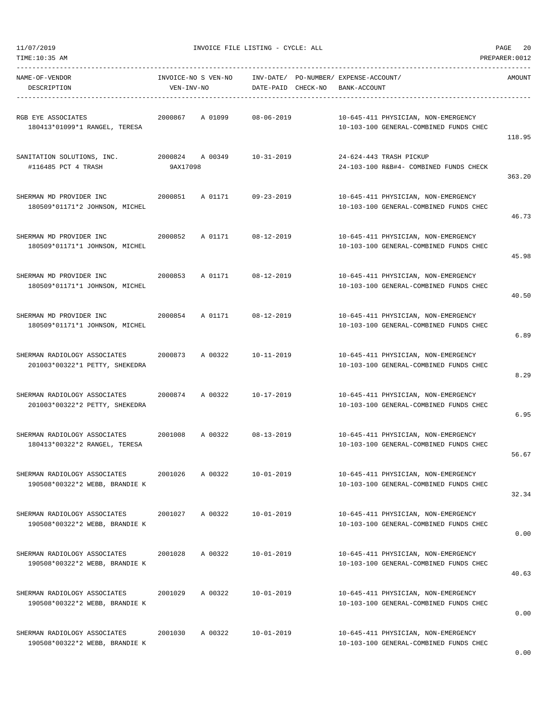| TIME:10:35 AM                                                  |                                   |                    |                                                                               | PREPARER: 0012 |
|----------------------------------------------------------------|-----------------------------------|--------------------|-------------------------------------------------------------------------------|----------------|
| NAME-OF-VENDOR<br>DESCRIPTION                                  | INVOICE-NO S VEN-NO<br>VEN-INV-NO | DATE-PAID CHECK-NO | INV-DATE/ PO-NUMBER/ EXPENSE-ACCOUNT/<br>BANK-ACCOUNT                         | AMOUNT         |
|                                                                |                                   |                    |                                                                               |                |
| RGB EYE ASSOCIATES                                             | 2000867<br>A 01099                | $08 - 06 - 2019$   | 10-645-411 PHYSICIAN, NON-EMERGENCY                                           |                |
| 180413*01099*1 RANGEL, TERESA                                  |                                   |                    | 10-103-100 GENERAL-COMBINED FUNDS CHEC                                        | 118.95         |
|                                                                |                                   |                    |                                                                               |                |
| SANITATION SOLUTIONS, INC.                                     | 2000824<br>A 00349                | $10 - 31 - 2019$   | 24-624-443 TRASH PICKUP                                                       |                |
| #116485 PCT 4 TRASH                                            | 9AX17098                          |                    | 24-103-100 R&B#4- COMBINED FUNDS CHECK                                        | 363.20         |
|                                                                |                                   |                    |                                                                               |                |
| SHERMAN MD PROVIDER INC<br>180509*01171*2 JOHNSON, MICHEL      | 2000851<br>A 01171                | $09 - 23 - 2019$   | 10-645-411 PHYSICIAN, NON-EMERGENCY<br>10-103-100 GENERAL-COMBINED FUNDS CHEC |                |
|                                                                |                                   |                    |                                                                               | 46.73          |
|                                                                |                                   |                    |                                                                               |                |
| SHERMAN MD PROVIDER INC<br>180509*01171*1 JOHNSON, MICHEL      | 2000852<br>A 01171                | $08 - 12 - 2019$   | 10-645-411 PHYSICIAN, NON-EMERGENCY<br>10-103-100 GENERAL-COMBINED FUNDS CHEC |                |
|                                                                |                                   |                    |                                                                               | 45.98          |
| SHERMAN MD PROVIDER INC                                        | 2000853<br>A 01171                | $08 - 12 - 2019$   | 10-645-411 PHYSICIAN, NON-EMERGENCY                                           |                |
| 180509*01171*1 JOHNSON, MICHEL                                 |                                   |                    | 10-103-100 GENERAL-COMBINED FUNDS CHEC                                        |                |
|                                                                |                                   |                    |                                                                               | 40.50          |
| SHERMAN MD PROVIDER INC                                        | 2000854<br>A 01171                | $08 - 12 - 2019$   | 10-645-411 PHYSICIAN, NON-EMERGENCY                                           |                |
| 180509*01171*1 JOHNSON, MICHEL                                 |                                   |                    | 10-103-100 GENERAL-COMBINED FUNDS CHEC                                        |                |
|                                                                |                                   |                    |                                                                               | 6.89           |
| SHERMAN RADIOLOGY ASSOCIATES                                   | 2000873<br>A 00322                | $10 - 11 - 2019$   | 10-645-411 PHYSICIAN, NON-EMERGENCY                                           |                |
| 201003*00322*1 PETTY, SHEKEDRA                                 |                                   |                    | 10-103-100 GENERAL-COMBINED FUNDS CHEC                                        |                |
|                                                                |                                   |                    |                                                                               | 8.29           |
| SHERMAN RADIOLOGY ASSOCIATES                                   | 2000874<br>A 00322                | $10 - 17 - 2019$   | 10-645-411 PHYSICIAN, NON-EMERGENCY                                           |                |
| 201003*00322*2 PETTY, SHEKEDRA                                 |                                   |                    | 10-103-100 GENERAL-COMBINED FUNDS CHEC                                        | 6.95           |
|                                                                |                                   |                    |                                                                               |                |
| SHERMAN RADIOLOGY ASSOCIATES                                   | 2001008<br>A 00322                | $08 - 13 - 2019$   | 10-645-411 PHYSICIAN, NON-EMERGENCY                                           |                |
| 180413*00322*2 RANGEL, TERESA                                  |                                   |                    | 10-103-100 GENERAL-COMBINED FUNDS CHEC                                        | 56.67          |
|                                                                |                                   |                    |                                                                               |                |
| SHERMAN RADIOLOGY ASSOCIATES<br>190508*00322*2 WEBB, BRANDIE K | 2001026<br>A 00322                | $10 - 01 - 2019$   | 10-645-411 PHYSICIAN, NON-EMERGENCY<br>10-103-100 GENERAL-COMBINED FUNDS CHEC |                |
|                                                                |                                   |                    |                                                                               | 32.34          |
|                                                                |                                   |                    |                                                                               |                |
| SHERMAN RADIOLOGY ASSOCIATES<br>190508*00322*2 WEBB, BRANDIE K | 2001027<br>A 00322                | 10-01-2019         | 10-645-411 PHYSICIAN, NON-EMERGENCY<br>10-103-100 GENERAL-COMBINED FUNDS CHEC |                |
|                                                                |                                   |                    |                                                                               | 0.00           |
| SHERMAN RADIOLOGY ASSOCIATES                                   | 2001028<br>A 00322                | $10 - 01 - 2019$   | 10-645-411 PHYSICIAN, NON-EMERGENCY                                           |                |
| 190508*00322*2 WEBB, BRANDIE K                                 |                                   |                    | 10-103-100 GENERAL-COMBINED FUNDS CHEC                                        |                |
|                                                                |                                   |                    |                                                                               | 40.63          |
| SHERMAN RADIOLOGY ASSOCIATES                                   | A 00322<br>2001029                | $10 - 01 - 2019$   | 10-645-411 PHYSICIAN, NON-EMERGENCY                                           |                |
| 190508*00322*2 WEBB, BRANDIE K                                 |                                   |                    | 10-103-100 GENERAL-COMBINED FUNDS CHEC                                        |                |
|                                                                |                                   |                    |                                                                               | 0.00           |
| SHERMAN RADIOLOGY ASSOCIATES                                   | 2001030<br>A 00322                | $10 - 01 - 2019$   | 10-645-411 PHYSICIAN, NON-EMERGENCY                                           |                |
| 190508*00322*2 WEBB, BRANDIE K                                 |                                   |                    | 10-103-100 GENERAL-COMBINED FUNDS CHEC                                        |                |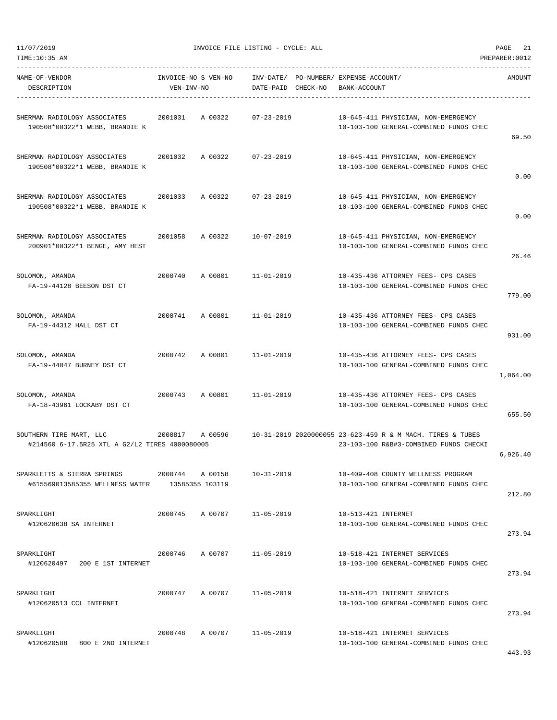11/07/2019 INVOICE FILE LISTING - CYCLE: ALL PAGE 21

| NAME-OF-VENDOR<br>DESCRIPTION                                             | INVOICE-NO S VEN-NO<br>VEN-INV-NO |         | DATE-PAID CHECK-NO | INV-DATE/ PO-NUMBER/ EXPENSE-ACCOUNT/<br>BANK-ACCOUNT                                                | AMOUNT   |
|---------------------------------------------------------------------------|-----------------------------------|---------|--------------------|------------------------------------------------------------------------------------------------------|----------|
| SHERMAN RADIOLOGY ASSOCIATES<br>190508*00322*1 WEBB, BRANDIE K            | 2001031                           | A 00322 | $07 - 23 - 2019$   | 10-645-411 PHYSICIAN, NON-EMERGENCY<br>10-103-100 GENERAL-COMBINED FUNDS CHEC                        | 69.50    |
| SHERMAN RADIOLOGY ASSOCIATES<br>190508*00322*1 WEBB, BRANDIE K            | 2001032                           | A 00322 | $07 - 23 - 2019$   | 10-645-411 PHYSICIAN, NON-EMERGENCY<br>10-103-100 GENERAL-COMBINED FUNDS CHEC                        | 0.00     |
| SHERMAN RADIOLOGY ASSOCIATES<br>190508*00322*1 WEBB, BRANDIE K            | 2001033                           | A 00322 | $07 - 23 - 2019$   | 10-645-411 PHYSICIAN, NON-EMERGENCY<br>10-103-100 GENERAL-COMBINED FUNDS CHEC                        | 0.00     |
| SHERMAN RADIOLOGY ASSOCIATES<br>200901*00322*1 BENGE, AMY HEST            | 2001058                           | A 00322 | $10 - 07 - 2019$   | 10-645-411 PHYSICIAN, NON-EMERGENCY<br>10-103-100 GENERAL-COMBINED FUNDS CHEC                        | 26.46    |
| SOLOMON, AMANDA<br>FA-19-44128 BEESON DST CT                              | 2000740                           | A 00801 | 11-01-2019         | 10-435-436 ATTORNEY FEES- CPS CASES<br>10-103-100 GENERAL-COMBINED FUNDS CHEC                        | 779.00   |
| SOLOMON, AMANDA<br>FA-19-44312 HALL DST CT                                | 2000741                           | A 00801 | $11 - 01 - 2019$   | 10-435-436 ATTORNEY FEES- CPS CASES<br>10-103-100 GENERAL-COMBINED FUNDS CHEC                        | 931.00   |
| SOLOMON, AMANDA<br>FA-19-44047 BURNEY DST CT                              | 2000742                           | A 00801 | 11-01-2019         | 10-435-436 ATTORNEY FEES- CPS CASES<br>10-103-100 GENERAL-COMBINED FUNDS CHEC                        | 1,064.00 |
| SOLOMON, AMANDA<br>FA-18-43961 LOCKABY DST CT                             | 2000743                           | A 00801 | 11-01-2019         | 10-435-436 ATTORNEY FEES- CPS CASES<br>10-103-100 GENERAL-COMBINED FUNDS CHEC                        | 655.50   |
| SOUTHERN TIRE MART, LLC<br>#214560 6-17.5R25 XTL A G2/L2 TIRES 4000080005 | 2000817                           | A 00596 |                    | 10-31-2019 2020000055 23-623-459 R & M MACH. TIRES & TUBES<br>23-103-100 R&B#3-COMBINED FUNDS CHECKI | 6,926.40 |
| SPARKLETTS & SIERRA SPRINGS<br>#615569013585355 WELLNESS WATER            | 2000744<br>13585355 103119        | A 00158 | $10 - 31 - 2019$   | 10-409-408 COUNTY WELLNESS PROGRAM<br>10-103-100 GENERAL-COMBINED FUNDS CHEC                         | 212.80   |
| SPARKLIGHT<br>#120620638 SA INTERNET                                      | 2000745                           | A 00707 | $11 - 05 - 2019$   | 10-513-421 INTERNET<br>10-103-100 GENERAL-COMBINED FUNDS CHEC                                        | 273.94   |
| SPARKLIGHT<br>#120620497 200 E 1ST INTERNET                               | 2000746                           | A 00707 | $11 - 05 - 2019$   | 10-518-421 INTERNET SERVICES<br>10-103-100 GENERAL-COMBINED FUNDS CHEC                               | 273.94   |
| SPARKLIGHT<br>#120620513 CCL INTERNET                                     | 2000747                           | A 00707 | $11 - 05 - 2019$   | 10-518-421 INTERNET SERVICES<br>10-103-100 GENERAL-COMBINED FUNDS CHEC                               | 273.94   |
| SPARKLIGHT<br>#120620588<br>800 E 2ND INTERNET                            | 2000748                           | A 00707 | $11 - 05 - 2019$   | 10-518-421 INTERNET SERVICES<br>10-103-100 GENERAL-COMBINED FUNDS CHEC                               |          |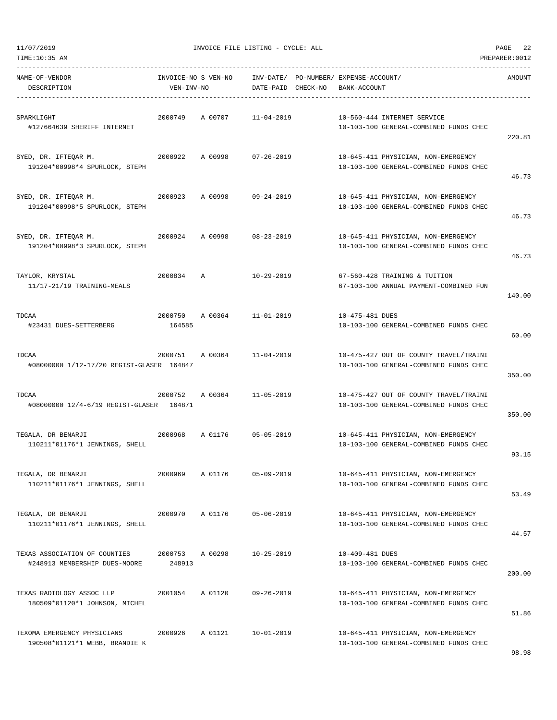| TIME:10:35 AM<br>PREPARER: 0012                                |                                   |         |                                 |  |                                                                                  |        |  |  |  |
|----------------------------------------------------------------|-----------------------------------|---------|---------------------------------|--|----------------------------------------------------------------------------------|--------|--|--|--|
| NAME-OF-VENDOR<br>DESCRIPTION                                  | INVOICE-NO S VEN-NO<br>VEN-INV-NO |         | INV-DATE/<br>DATE-PAID CHECK-NO |  | PO-NUMBER/ EXPENSE-ACCOUNT/<br>BANK-ACCOUNT                                      | AMOUNT |  |  |  |
| SPARKLIGHT<br>#127664639 SHERIFF INTERNET                      | 2000749                           | A 00707 | $11 - 04 - 2019$                |  | 10-560-444 INTERNET SERVICE<br>10-103-100 GENERAL-COMBINED FUNDS CHEC            | 220.81 |  |  |  |
| SYED, DR. IFTEQAR M.<br>191204*00998*4 SPURLOCK, STEPH         | 2000922                           | A 00998 | $07 - 26 - 2019$                |  | 10-645-411 PHYSICIAN, NON-EMERGENCY<br>10-103-100 GENERAL-COMBINED FUNDS CHEC    | 46.73  |  |  |  |
| SYED, DR. IFTEQAR M.<br>191204*00998*5 SPURLOCK, STEPH         | 2000923                           | A 00998 | $09 - 24 - 2019$                |  | 10-645-411 PHYSICIAN, NON-EMERGENCY<br>10-103-100 GENERAL-COMBINED FUNDS CHEC    | 46.73  |  |  |  |
| SYED, DR. IFTEQAR M.<br>191204*00998*3 SPURLOCK, STEPH         | 2000924                           | A 00998 | $08 - 23 - 2019$                |  | 10-645-411 PHYSICIAN, NON-EMERGENCY<br>10-103-100 GENERAL-COMBINED FUNDS CHEC    | 46.73  |  |  |  |
| TAYLOR, KRYSTAL<br>11/17-21/19 TRAINING-MEALS                  | 2000834                           | Α       | $10 - 29 - 2019$                |  | 67-560-428 TRAINING & TUITION<br>67-103-100 ANNUAL PAYMENT-COMBINED FUN          | 140.00 |  |  |  |
| TDCAA<br>#23431 DUES-SETTERBERG                                | 2000750<br>164585                 | A 00364 | $11 - 01 - 2019$                |  | 10-475-481 DUES<br>10-103-100 GENERAL-COMBINED FUNDS CHEC                        | 60.00  |  |  |  |
| TDCAA<br>#08000000 1/12-17/20 REGIST-GLASER 164847             | 2000751                           | A 00364 | $11 - 04 - 2019$                |  | 10-475-427 OUT OF COUNTY TRAVEL/TRAINI<br>10-103-100 GENERAL-COMBINED FUNDS CHEC | 350.00 |  |  |  |
| TDCAA<br>#08000000 12/4-6/19 REGIST-GLASER 164871              | 2000752                           | A 00364 | $11 - 05 - 2019$                |  | 10-475-427 OUT OF COUNTY TRAVEL/TRAINI<br>10-103-100 GENERAL-COMBINED FUNDS CHEC | 350.00 |  |  |  |
| TEGALA, DR BENARJI<br>110211*01176*1 JENNINGS, SHELL           | 2000968                           | A 01176 | $05 - 05 - 2019$                |  | 10-645-411 PHYSICIAN, NON-EMERGENCY<br>10-103-100 GENERAL-COMBINED FUNDS CHEC    | 93.15  |  |  |  |
| TEGALA, DR BENARJI<br>110211*01176*1 JENNINGS, SHELL           | 2000969                           | A 01176 | $05 - 09 - 2019$                |  | 10-645-411 PHYSICIAN, NON-EMERGENCY<br>10-103-100 GENERAL-COMBINED FUNDS CHEC    | 53.49  |  |  |  |
| TEGALA, DR BENARJI<br>110211*01176*1 JENNINGS, SHELL           | 2000970                           | A 01176 | $05 - 06 - 2019$                |  | 10-645-411 PHYSICIAN, NON-EMERGENCY<br>10-103-100 GENERAL-COMBINED FUNDS CHEC    | 44.57  |  |  |  |
| TEXAS ASSOCIATION OF COUNTIES<br>#248913 MEMBERSHIP DUES-MOORE | 2000753<br>248913                 | A 00298 | $10 - 25 - 2019$                |  | 10-409-481 DUES<br>10-103-100 GENERAL-COMBINED FUNDS CHEC                        | 200.00 |  |  |  |
| TEXAS RADIOLOGY ASSOC LLP<br>180509*01120*1 JOHNSON, MICHEL    | 2001054                           | A 01120 | $09 - 26 - 2019$                |  | 10-645-411 PHYSICIAN, NON-EMERGENCY<br>10-103-100 GENERAL-COMBINED FUNDS CHEC    | 51.86  |  |  |  |
| TEXOMA EMERGENCY PHYSICIANS<br>190508*01121*1 WEBB, BRANDIE K  | 2000926                           | A 01121 | $10 - 01 - 2019$                |  | 10-645-411 PHYSICIAN, NON-EMERGENCY<br>10-103-100 GENERAL-COMBINED FUNDS CHEC    |        |  |  |  |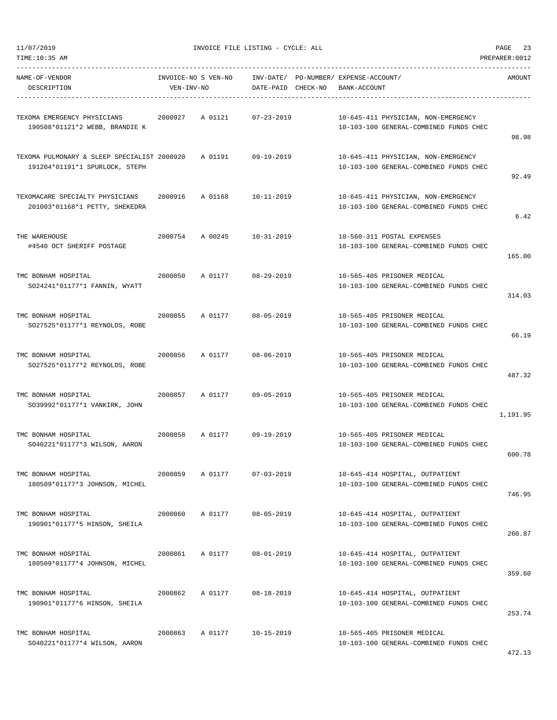11/07/2019 INVOICE FILE LISTING - CYCLE: ALL PAGE 23

| NAME-OF-VENDOR<br>DESCRIPTION                                                 | INVOICE-NO S VEN-NO<br>VEN-INV-NO |         | DATE-PAID CHECK-NO | INV-DATE/ PO-NUMBER/ EXPENSE-ACCOUNT/<br>BANK-ACCOUNT |                                                                               | AMOUNT   |
|-------------------------------------------------------------------------------|-----------------------------------|---------|--------------------|-------------------------------------------------------|-------------------------------------------------------------------------------|----------|
| TEXOMA EMERGENCY PHYSICIANS<br>190508*01121*2 WEBB, BRANDIE K                 | 2000927                           | A 01121 | $07 - 23 - 2019$   |                                                       | 10-645-411 PHYSICIAN, NON-EMERGENCY<br>10-103-100 GENERAL-COMBINED FUNDS CHEC | 98.98    |
| TEXOMA PULMONARY & SLEEP SPECIALIST 2000920<br>191204*01191*1 SPURLOCK, STEPH |                                   | A 01191 | $09 - 19 - 2019$   |                                                       | 10-645-411 PHYSICIAN, NON-EMERGENCY<br>10-103-100 GENERAL-COMBINED FUNDS CHEC | 92.49    |
| TEXOMACARE SPECIALTY PHYSICIANS<br>201003*01168*1 PETTY, SHEKEDRA             | 2000916                           | A 01168 | $10 - 11 - 2019$   |                                                       | 10-645-411 PHYSICIAN, NON-EMERGENCY<br>10-103-100 GENERAL-COMBINED FUNDS CHEC | 6.42     |
| THE WAREHOUSE<br>#4540 OCT SHERIFF POSTAGE                                    | 2000754                           | A 00245 | $10 - 31 - 2019$   |                                                       | 10-560-311 POSTAL EXPENSES<br>10-103-100 GENERAL-COMBINED FUNDS CHEC          | 165.00   |
| TMC BONHAM HOSPITAL<br>SO24241*01177*1 FANNIN, WYATT                          | 2000850                           | A 01177 | $08 - 29 - 2019$   |                                                       | 10-565-405 PRISONER MEDICAL<br>10-103-100 GENERAL-COMBINED FUNDS CHEC         | 314.03   |
| TMC BONHAM HOSPITAL<br>SO27525*01177*1 REYNOLDS, ROBE                         | 2000855                           | A 01177 | $08 - 05 - 2019$   |                                                       | 10-565-405 PRISONER MEDICAL<br>10-103-100 GENERAL-COMBINED FUNDS CHEC         | 66.19    |
| TMC BONHAM HOSPITAL<br>SO27525*01177*2 REYNOLDS, ROBE                         | 2000856                           | A 01177 | $08 - 06 - 2019$   |                                                       | 10-565-405 PRISONER MEDICAL<br>10-103-100 GENERAL-COMBINED FUNDS CHEC         | 487.32   |
| TMC BONHAM HOSPITAL<br>SO39992*01177*1 VANKIRK, JOHN                          | 2000857                           | A 01177 | $09 - 05 - 2019$   |                                                       | 10-565-405 PRISONER MEDICAL<br>10-103-100 GENERAL-COMBINED FUNDS CHEC         | 1,191.95 |
| TMC BONHAM HOSPITAL<br>SO40221*01177*3 WILSON, AARON                          | 2000858                           | A 01177 | $09 - 19 - 2019$   |                                                       | 10-565-405 PRISONER MEDICAL<br>10-103-100 GENERAL-COMBINED FUNDS CHEC         | 600.78   |
| TMC BONHAM HOSPITAL<br>180509*01177*3 JOHNSON, MICHEL                         | 2000859                           | A 01177 | $07 - 03 - 2019$   |                                                       | 10-645-414 HOSPITAL, OUTPATIENT<br>10-103-100 GENERAL-COMBINED FUNDS CHEC     | 746.95   |
| TMC BONHAM HOSPITAL<br>190901*01177*5 HINSON, SHEILA                          | 2000860                           | A 01177 | $08 - 05 - 2019$   |                                                       | 10-645-414 HOSPITAL, OUTPATIENT<br>10-103-100 GENERAL-COMBINED FUNDS CHEC     | 260.87   |
| TMC BONHAM HOSPITAL<br>180509*01177*4 JOHNSON, MICHEL                         | 2000861                           | A 01177 | $08 - 01 - 2019$   |                                                       | 10-645-414 HOSPITAL, OUTPATIENT<br>10-103-100 GENERAL-COMBINED FUNDS CHEC     | 359.60   |
| TMC BONHAM HOSPITAL<br>190901*01177*6 HINSON, SHEILA                          | 2000862                           | A 01177 | $08 - 18 - 2019$   |                                                       | 10-645-414 HOSPITAL, OUTPATIENT<br>10-103-100 GENERAL-COMBINED FUNDS CHEC     | 253.74   |
| TMC BONHAM HOSPITAL<br>SO40221*01177*4 WILSON, AARON                          | 2000863                           | A 01177 | $10 - 15 - 2019$   |                                                       | 10-565-405 PRISONER MEDICAL<br>10-103-100 GENERAL-COMBINED FUNDS CHEC         |          |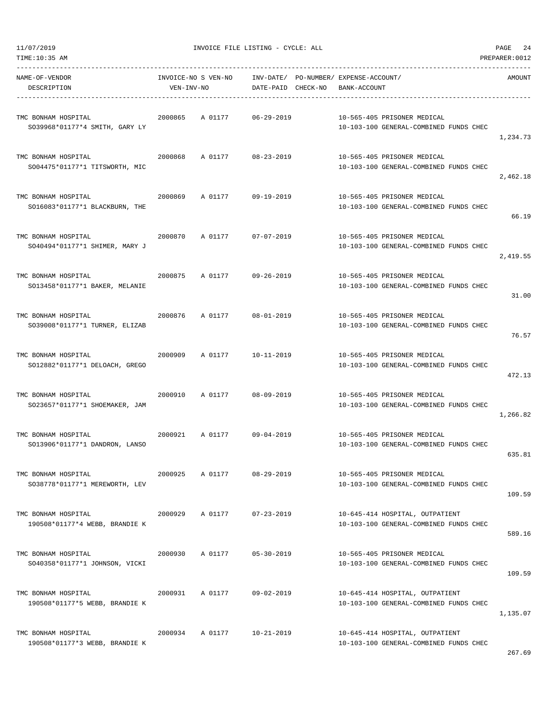| TIME:10:35 AM                                         |            |                     |                    |                             |                                                                       | PREPARER: 0012 |
|-------------------------------------------------------|------------|---------------------|--------------------|-----------------------------|-----------------------------------------------------------------------|----------------|
| NAME-OF-VENDOR                                        |            | INVOICE-NO S VEN-NO | INV-DATE/          | PO-NUMBER/ EXPENSE-ACCOUNT/ |                                                                       | AMOUNT         |
| DESCRIPTION                                           | VEN-INV-NO |                     | DATE-PAID CHECK-NO | BANK-ACCOUNT                |                                                                       |                |
|                                                       |            |                     |                    |                             |                                                                       |                |
| TMC BONHAM HOSPITAL                                   | 2000865    | A 01177             | $06 - 29 - 2019$   |                             | 10-565-405 PRISONER MEDICAL                                           |                |
| SO39968*01177*4 SMITH, GARY LY                        |            |                     |                    |                             | 10-103-100 GENERAL-COMBINED FUNDS CHEC                                | 1,234.73       |
|                                                       |            |                     |                    |                             |                                                                       |                |
| TMC BONHAM HOSPITAL                                   | 2000868    | A 01177             | 08-23-2019         |                             | 10-565-405 PRISONER MEDICAL                                           |                |
| SO04475*01177*1 TITSWORTH, MIC                        |            |                     |                    |                             | 10-103-100 GENERAL-COMBINED FUNDS CHEC                                |                |
|                                                       |            |                     |                    |                             |                                                                       | 2,462.18       |
| TMC BONHAM HOSPITAL                                   | 2000869    | A 01177             | 09-19-2019         |                             | 10-565-405 PRISONER MEDICAL                                           |                |
| SO16083*01177*1 BLACKBURN, THE                        |            |                     |                    |                             | 10-103-100 GENERAL-COMBINED FUNDS CHEC                                |                |
|                                                       |            |                     |                    |                             |                                                                       | 66.19          |
| TMC BONHAM HOSPITAL                                   | 2000870    | A 01177             | $07 - 07 - 2019$   |                             | 10-565-405 PRISONER MEDICAL                                           |                |
| SO40494*01177*1 SHIMER, MARY J                        |            |                     |                    |                             | 10-103-100 GENERAL-COMBINED FUNDS CHEC                                |                |
|                                                       |            |                     |                    |                             |                                                                       | 2,419.55       |
| TMC BONHAM HOSPITAL                                   | 2000875    | A 01177             | $09 - 26 - 2019$   |                             | 10-565-405 PRISONER MEDICAL                                           |                |
| SO13458*01177*1 BAKER, MELANIE                        |            |                     |                    |                             | 10-103-100 GENERAL-COMBINED FUNDS CHEC                                |                |
|                                                       |            |                     |                    |                             |                                                                       | 31.00          |
| TMC BONHAM HOSPITAL                                   | 2000876    | A 01177             | $08 - 01 - 2019$   |                             | 10-565-405 PRISONER MEDICAL                                           |                |
| SO39008*01177*1 TURNER, ELIZAB                        |            |                     |                    |                             | 10-103-100 GENERAL-COMBINED FUNDS CHEC                                |                |
|                                                       |            |                     |                    |                             |                                                                       | 76.57          |
|                                                       |            |                     |                    |                             |                                                                       |                |
| TMC BONHAM HOSPITAL<br>SO12882*01177*1 DELOACH, GREGO | 2000909    | A 01177             | 10-11-2019         |                             | 10-565-405 PRISONER MEDICAL<br>10-103-100 GENERAL-COMBINED FUNDS CHEC |                |
|                                                       |            |                     |                    |                             |                                                                       | 472.13         |
|                                                       |            |                     |                    |                             |                                                                       |                |
| TMC BONHAM HOSPITAL<br>SO23657*01177*1 SHOEMAKER, JAM | 2000910    | A 01177             | $08 - 09 - 2019$   |                             | 10-565-405 PRISONER MEDICAL<br>10-103-100 GENERAL-COMBINED FUNDS CHEC |                |
|                                                       |            |                     |                    |                             |                                                                       | 1,266.82       |
|                                                       |            |                     |                    |                             |                                                                       |                |
| TMC BONHAM HOSPITAL                                   | 2000921    | A 01177             | $09 - 04 - 2019$   |                             | 10-565-405 PRISONER MEDICAL                                           |                |
| SO13906*01177*1 DANDRON, LANSO                        |            |                     |                    |                             | 10-103-100 GENERAL-COMBINED FUNDS CHEC                                | 635.81         |
|                                                       |            |                     |                    |                             |                                                                       |                |
| TMC BONHAM HOSPITAL                                   | 2000925    | A 01177             | $08 - 29 - 2019$   |                             | 10-565-405 PRISONER MEDICAL                                           |                |
| SO38778*01177*1 MEREWORTH, LEV                        |            |                     |                    |                             | 10-103-100 GENERAL-COMBINED FUNDS CHEC                                | 109.59         |
|                                                       |            |                     |                    |                             |                                                                       |                |
| TMC BONHAM HOSPITAL                                   | 2000929    | A 01177             | $07 - 23 - 2019$   |                             | 10-645-414 HOSPITAL, OUTPATIENT                                       |                |
| 190508*01177*4 WEBB, BRANDIE K                        |            |                     |                    |                             | 10-103-100 GENERAL-COMBINED FUNDS CHEC                                |                |
|                                                       |            |                     |                    |                             |                                                                       | 589.16         |
| TMC BONHAM HOSPITAL                                   | 2000930    | A 01177             | $05 - 30 - 2019$   |                             | 10-565-405 PRISONER MEDICAL                                           |                |
| SO40358*01177*1 JOHNSON, VICKI                        |            |                     |                    |                             | 10-103-100 GENERAL-COMBINED FUNDS CHEC                                |                |
|                                                       |            |                     |                    |                             |                                                                       | 109.59         |
| TMC BONHAM HOSPITAL                                   | 2000931    | A 01177             | $09 - 02 - 2019$   |                             | 10-645-414 HOSPITAL, OUTPATIENT                                       |                |
| 190508*01177*5 WEBB, BRANDIE K                        |            |                     |                    |                             | 10-103-100 GENERAL-COMBINED FUNDS CHEC                                |                |
|                                                       |            |                     |                    |                             |                                                                       | 1,135.07       |
| TMC BONHAM HOSPITAL                                   | 2000934    | A 01177             | $10 - 21 - 2019$   |                             | 10-645-414 HOSPITAL, OUTPATIENT                                       |                |
| 190508*01177*3 WEBB, BRANDIE K                        |            |                     |                    |                             | 10-103-100 GENERAL-COMBINED FUNDS CHEC                                |                |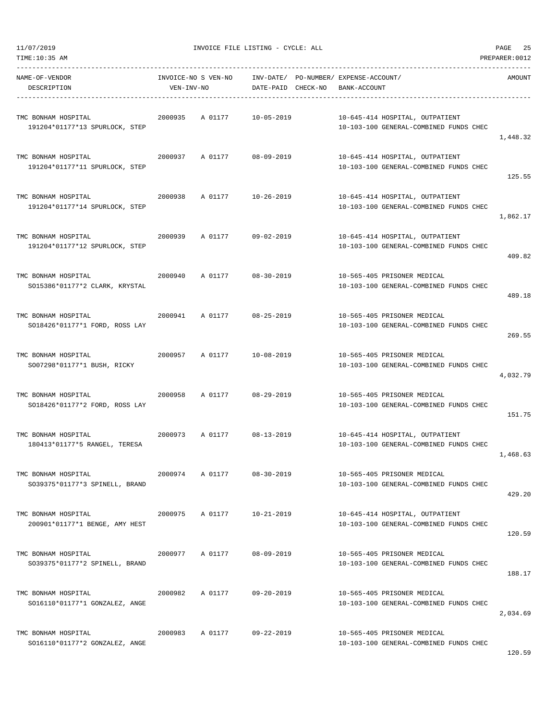| TIME:10:35 AM                                         |            |                     |                    |                                                       |                                                                           | PREPARER: 0012 |
|-------------------------------------------------------|------------|---------------------|--------------------|-------------------------------------------------------|---------------------------------------------------------------------------|----------------|
| NAME-OF-VENDOR<br>DESCRIPTION                         | VEN-INV-NO | INVOICE-NO S VEN-NO | DATE-PAID CHECK-NO | INV-DATE/ PO-NUMBER/ EXPENSE-ACCOUNT/<br>BANK-ACCOUNT |                                                                           | AMOUNT         |
| TMC BONHAM HOSPITAL<br>191204*01177*13 SPURLOCK, STEP | 2000935    | A 01177             | 10-05-2019         |                                                       | 10-645-414 HOSPITAL, OUTPATIENT<br>10-103-100 GENERAL-COMBINED FUNDS CHEC | 1,448.32       |
| TMC BONHAM HOSPITAL<br>191204*01177*11 SPURLOCK, STEP | 2000937    | A 01177             | 08-09-2019         |                                                       | 10-645-414 HOSPITAL, OUTPATIENT<br>10-103-100 GENERAL-COMBINED FUNDS CHEC | 125.55         |
| TMC BONHAM HOSPITAL<br>191204*01177*14 SPURLOCK, STEP | 2000938    | A 01177             | 10-26-2019         |                                                       | 10-645-414 HOSPITAL, OUTPATIENT<br>10-103-100 GENERAL-COMBINED FUNDS CHEC | 1,862.17       |
| TMC BONHAM HOSPITAL<br>191204*01177*12 SPURLOCK, STEP | 2000939    | A 01177             | $09 - 02 - 2019$   |                                                       | 10-645-414 HOSPITAL, OUTPATIENT<br>10-103-100 GENERAL-COMBINED FUNDS CHEC | 409.82         |
| TMC BONHAM HOSPITAL<br>SO15386*01177*2 CLARK, KRYSTAL | 2000940    | A 01177             | $08 - 30 - 2019$   |                                                       | 10-565-405 PRISONER MEDICAL<br>10-103-100 GENERAL-COMBINED FUNDS CHEC     | 489.18         |
| TMC BONHAM HOSPITAL<br>SO18426*01177*1 FORD, ROSS LAY | 2000941    | A 01177             | $08 - 25 - 2019$   |                                                       | 10-565-405 PRISONER MEDICAL<br>10-103-100 GENERAL-COMBINED FUNDS CHEC     | 269.55         |
| TMC BONHAM HOSPITAL<br>SO07298*01177*1 BUSH, RICKY    | 2000957    | A 01177             | 10-08-2019         |                                                       | 10-565-405 PRISONER MEDICAL<br>10-103-100 GENERAL-COMBINED FUNDS CHEC     | 4,032.79       |
| TMC BONHAM HOSPITAL<br>SO18426*01177*2 FORD, ROSS LAY | 2000958    | A 01177             | $08 - 29 - 2019$   |                                                       | 10-565-405 PRISONER MEDICAL<br>10-103-100 GENERAL-COMBINED FUNDS CHEC     | 151.75         |
| TMC BONHAM HOSPITAL<br>180413*01177*5 RANGEL, TERESA  | 2000973    | A 01177             | $08 - 13 - 2019$   |                                                       | 10-645-414 HOSPITAL, OUTPATIENT<br>10-103-100 GENERAL-COMBINED FUNDS CHEC | 1,468.63       |
| TMC BONHAM HOSPITAL<br>SO39375*01177*3 SPINELL, BRAND | 2000974    | A 01177             | $08 - 30 - 2019$   |                                                       | 10-565-405 PRISONER MEDICAL<br>10-103-100 GENERAL-COMBINED FUNDS CHEC     | 429.20         |
| TMC BONHAM HOSPITAL<br>200901*01177*1 BENGE, AMY HEST | 2000975    | A 01177             | 10-21-2019         |                                                       | 10-645-414 HOSPITAL, OUTPATIENT<br>10-103-100 GENERAL-COMBINED FUNDS CHEC | 120.59         |
| TMC BONHAM HOSPITAL<br>SO39375*01177*2 SPINELL, BRAND | 2000977    | A 01177             | $08 - 09 - 2019$   |                                                       | 10-565-405 PRISONER MEDICAL<br>10-103-100 GENERAL-COMBINED FUNDS CHEC     | 188.17         |
| TMC BONHAM HOSPITAL<br>SO16110*01177*1 GONZALEZ, ANGE | 2000982    | A 01177             | $09 - 20 - 2019$   |                                                       | 10-565-405 PRISONER MEDICAL<br>10-103-100 GENERAL-COMBINED FUNDS CHEC     | 2,034.69       |
| TMC BONHAM HOSPITAL<br>SO16110*01177*2 GONZALEZ, ANGE | 2000983    | A 01177             | $09 - 22 - 2019$   |                                                       | 10-565-405 PRISONER MEDICAL<br>10-103-100 GENERAL-COMBINED FUNDS CHEC     |                |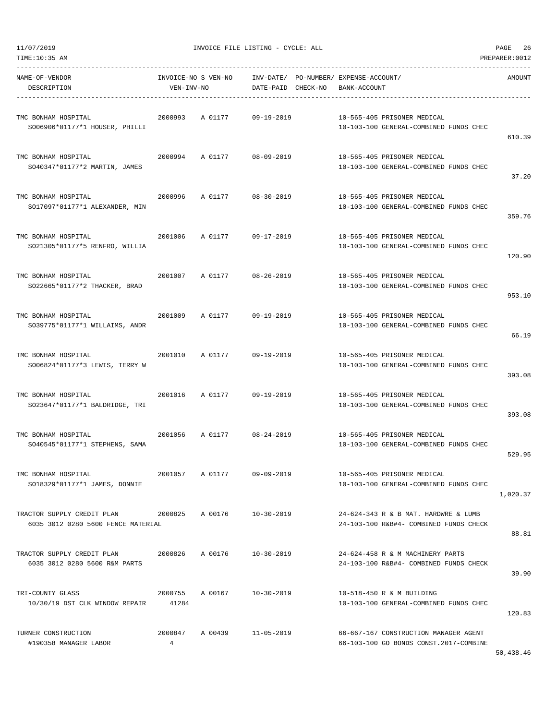| TIME:10:35 AM<br>PREPARER: 0012                                  |                            |                     |                                    |                                                                                 |          |  |  |
|------------------------------------------------------------------|----------------------------|---------------------|------------------------------------|---------------------------------------------------------------------------------|----------|--|--|
| NAME-OF-VENDOR<br>DESCRIPTION                                    | VEN-INV-NO                 | INVOICE-NO S VEN-NO | INV-DATE/<br>DATE-PAID<br>CHECK-NO | PO-NUMBER / EXPENSE-ACCOUNT /<br>BANK-ACCOUNT                                   | AMOUNT   |  |  |
| TMC BONHAM HOSPITAL<br>SO06906*01177*1 HOUSER, PHILLI            | 2000993                    | A 01177             | $09 - 19 - 2019$                   | 10-565-405 PRISONER MEDICAL<br>10-103-100 GENERAL-COMBINED FUNDS CHEC           | 610.39   |  |  |
| TMC BONHAM HOSPITAL<br>SO40347*01177*2 MARTIN, JAMES             | 2000994                    | A 01177             | $08 - 09 - 2019$                   | 10-565-405 PRISONER MEDICAL<br>10-103-100 GENERAL-COMBINED FUNDS CHEC           | 37.20    |  |  |
| TMC BONHAM HOSPITAL<br>SO17097*01177*1 ALEXANDER, MIN            | 2000996                    | A 01177             | $08 - 30 - 2019$                   | 10-565-405 PRISONER MEDICAL<br>10-103-100 GENERAL-COMBINED FUNDS CHEC           | 359.76   |  |  |
| TMC BONHAM HOSPITAL<br>SO21305*01177*5 RENFRO, WILLIA            | 2001006                    | A 01177             | $09 - 17 - 2019$                   | 10-565-405 PRISONER MEDICAL<br>10-103-100 GENERAL-COMBINED FUNDS CHEC           | 120.90   |  |  |
| TMC BONHAM HOSPITAL<br>SO22665*01177*2 THACKER, BRAD             | 2001007                    | A 01177             | $08 - 26 - 2019$                   | 10-565-405 PRISONER MEDICAL<br>10-103-100 GENERAL-COMBINED FUNDS CHEC           | 953.10   |  |  |
| TMC BONHAM HOSPITAL<br>SO39775*01177*1 WILLAIMS, ANDR            | 2001009                    | A 01177             | $09 - 19 - 2019$                   | 10-565-405 PRISONER MEDICAL<br>10-103-100 GENERAL-COMBINED FUNDS CHEC           | 66.19    |  |  |
| TMC BONHAM HOSPITAL<br>SO06824*01177*3 LEWIS, TERRY W            | 2001010                    | A 01177             | $09 - 19 - 2019$                   | 10-565-405 PRISONER MEDICAL<br>10-103-100 GENERAL-COMBINED FUNDS CHEC           | 393.08   |  |  |
| TMC BONHAM HOSPITAL<br>SO23647*01177*1 BALDRIDGE, TRI            | 2001016                    | A 01177             | $09 - 19 - 2019$                   | 10-565-405 PRISONER MEDICAL<br>10-103-100 GENERAL-COMBINED FUNDS CHEC           | 393.08   |  |  |
| TMC BONHAM HOSPITAL<br>SO40545*01177*1 STEPHENS, SAMA            | 2001056                    | A 01177             | $08 - 24 - 2019$                   | 10-565-405 PRISONER MEDICAL<br>10-103-100 GENERAL-COMBINED FUNDS CHEC           | 529.95   |  |  |
| TMC BONHAM HOSPITAL<br>SO18329*01177*1 JAMES, DONNIE             | 2001057                    | A 01177             | 09-09-2019                         | 10-565-405 PRISONER MEDICAL<br>10-103-100 GENERAL-COMBINED FUNDS CHEC           | 1,020.37 |  |  |
| TRACTOR SUPPLY CREDIT PLAN<br>6035 3012 0280 5600 FENCE MATERIAL | 2000825                    | A 00176             | $10 - 30 - 2019$                   | 24-624-343 R & B MAT. HARDWRE & LUMB<br>24-103-100 R&B#4- COMBINED FUNDS CHECK  | 88.81    |  |  |
| TRACTOR SUPPLY CREDIT PLAN<br>6035 3012 0280 5600 R&M PARTS      | 2000826                    | A 00176             | 10-30-2019                         | 24-624-458 R & M MACHINERY PARTS<br>24-103-100 R&B#4- COMBINED FUNDS CHECK      | 39.90    |  |  |
| TRI-COUNTY GLASS<br>10/30/19 DST CLK WINDOW REPAIR               | 2000755<br>41284           | A 00167             | $10 - 30 - 2019$                   | 10-518-450 R & M BUILDING<br>10-103-100 GENERAL-COMBINED FUNDS CHEC             | 120.83   |  |  |
| TURNER CONSTRUCTION<br>#190358 MANAGER LABOR                     | 2000847<br>$4\overline{ }$ | A 00439             | $11 - 05 - 2019$                   | 66-667-167 CONSTRUCTION MANAGER AGENT<br>66-103-100 GO BONDS CONST.2017-COMBINE |          |  |  |

50,438.46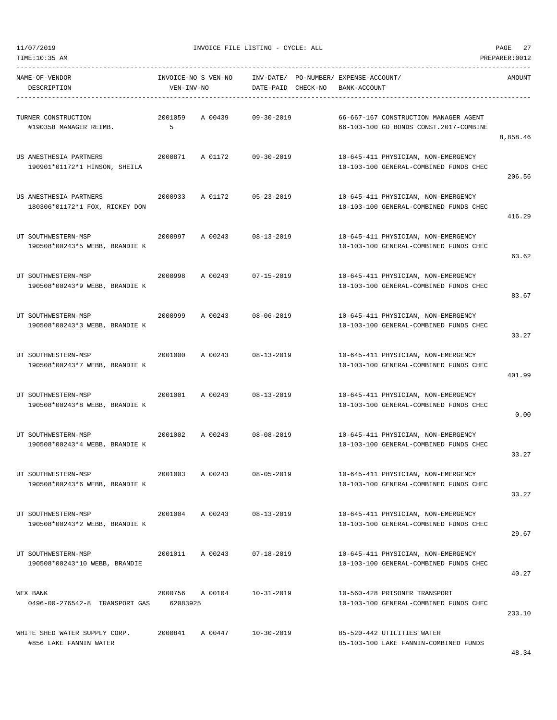11/07/2019 INVOICE FILE LISTING - CYCLE: ALL PAGE 27

----------------------------------------------------------------------------------------------------------------------------------- NAME-OF-VENDOR INVOICE-NO S VEN-NO INV-DATE/ PO-NUMBER/ EXPENSE-ACCOUNT/ AMOUNT DESCRIPTION VEN-INV-NO DATE-PAID CHECK-NO BANK-ACCOUNT ----------------------------------------------------------------------------------------------------------------------------------- TURNER CONSTRUCTION 2001059 A 00439 09-30-2019 66-667-167 CONSTRUCTION MANAGER AGENT #190358 MANAGER REIMB. 5 66-103-100 GO BONDS CONST.2017-COMBINE 8,858.46 US ANESTHESIA PARTNERS 2000871 A 01172 09-30-2019 10-645-411 PHYSICIAN, NON-EMERGENCY 190901\*01172\*1 HINSON, SHEILA 10-103-100 GENERAL-COMBINED FUNDS CHEC 206.56 US ANESTHESIA PARTNERS 2000933 A 01172 05-23-2019 10-645-411 PHYSICIAN, NON-EMERGENCY 180306\*01172\*1 FOX, RICKEY DON 10-103-100 GENERAL-COMBINED FUNDS CHEC 416.29 UT SOUTHWESTERN-MSP 2000997 A 00243 08-13-2019 10-645-411 PHYSICIAN, NON-EMERGENCY 190508\*00243\*5 WEBB, BRANDIE K 10-103-100 GENERAL-COMBINED FUNDS CHEC 63.62 UT SOUTHWESTERN-MSP 2000998 A 00243 07-15-2019 10-645-411 PHYSICIAN, NON-EMERGENCY 190508\*00243\*9 WEBB, BRANDIE K 10-103-100 GENERAL-COMBINED FUNDS CHEC 83.67 UT SOUTHWESTERN-MSP 2000999 A 00243 08-06-2019 10-645-411 PHYSICIAN, NON-EMERGENCY 190508\*00243\*3 WEBB, BRANDIE K 10-103-100 GENERAL-COMBINED FUNDS CHEC 33.27 UT SOUTHWESTERN-MSP 2001000 A 00243 08-13-2019 10-645-411 PHYSICIAN, NON-EMERGENCY 190508\*00243\*7 WEBB, BRANDIE K 10-103-100 GENERAL-COMBINED FUNDS CHEC 401.99 UT SOUTHWESTERN-MSP 2001001 A 00243 08-13-2019 10-645-411 PHYSICIAN, NON-EMERGENCY 190508\*00243\*8 WEBB, BRANDIE K 10-103-100 GENERAL-COMBINED FUNDS CHEC 0.00 UT SOUTHWESTERN-MSP 2001002 A 00243 08-08-2019 10-645-411 PHYSICIAN, NON-EMERGENCY 190508\*00243\*4 WEBB, BRANDIE K 10-103-100 GENERAL-COMBINED FUNDS CHEC 33.27 UT SOUTHWESTERN-MSP 2001003 A 00243 08-05-2019 10-645-411 PHYSICIAN, NON-EMERGENCY 190508\*00243\*6 WEBB, BRANDIE K 10-103-100 GENERAL-COMBINED FUNDS CHEC 33.27 UT SOUTHWESTERN-MSP 2001004 A 00243 08-13-2019 10-645-411 PHYSICIAN, NON-EMERGENCY 190508\*00243\*2 WEBB, BRANDIE K 10-103-100 GENERAL-COMBINED FUNDS CHEC 29.67 UT SOUTHWESTERN-MSP 2001011 A 00243 07-18-2019 10-645-411 PHYSICIAN, NON-EMERGENCY 190508\*00243\*10 WEBB, BRANDIE 10-103-100 GENERAL-COMBINED FUNDS CHEC 40.27 WEX BANK 2000756 A 00104 10-31-2019 10-560-428 PRISONER TRANSPORT 0496-00-276542-8 TRANSPORT GAS 62083925 10-103-100 GENERAL-COMBINED FUNDS CHEC 233.10 WHITE SHED WATER SUPPLY CORP. 2000841 A 00447 10-30-2019 85-520-442 UTILITIES WATER #856 LAKE FANNIN WATER 85-103-100 LAKE FANNIN-COMBINED FUNDS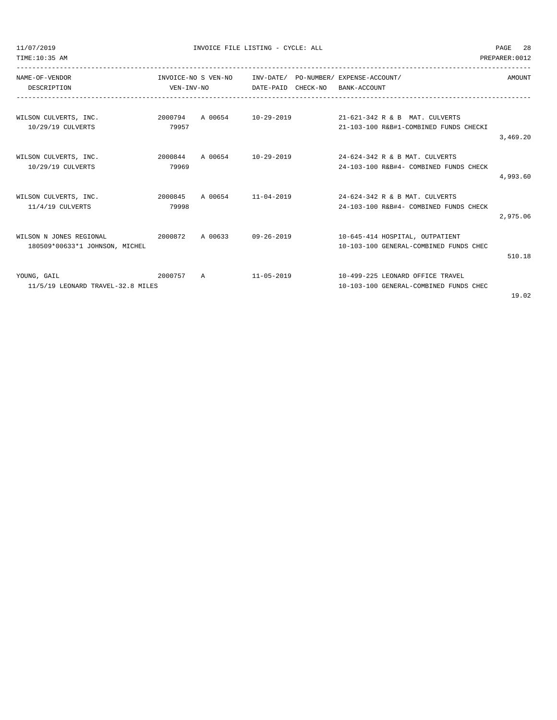TIME:10:35 AM PREPARER:0012

| NAME-OF-VENDOR                    |            | INVOICE-NO S VEN-NO |                       |  | INV-DATE/ PO-NUMBER/ EXPENSE-ACCOUNT/                     | AMOUNT   |
|-----------------------------------|------------|---------------------|-----------------------|--|-----------------------------------------------------------|----------|
| DESCRIPTION                       | VEN-INV-NO |                     | DATE-PAID<br>CHECK-NO |  | BANK-ACCOUNT                                              |          |
|                                   |            |                     |                       |  |                                                           |          |
| WILSON CULVERTS, INC.             |            |                     |                       |  | 2000794 A 00654 10-29-2019 21-621-342 R & B MAT. CULVERTS |          |
| 10/29/19 CULVERTS                 | 79957      |                     |                       |  | 21-103-100 R&B#1-COMBINED FUNDS CHECKI                    |          |
|                                   |            |                     |                       |  |                                                           | 3,469.20 |
| WILSON CULVERTS, INC.             | 2000844    | A 00654 10-29-2019  |                       |  | 24-624-342 R & B MAT. CULVERTS                            |          |
| 10/29/19 CULVERTS                 | 79969      |                     |                       |  | 24-103-100 R&B#4- COMBINED FUNDS CHECK                    |          |
|                                   |            |                     |                       |  |                                                           | 4,993.60 |
| WILSON CULVERTS, INC.             | 2000845    | A 00654 11-04-2019  |                       |  | 24-624-342 R & B MAT. CULVERTS                            |          |
| 11/4/19 CULVERTS                  | 79998      |                     |                       |  | 24-103-100 R&B#4- COMBINED FUNDS CHECK                    |          |
|                                   |            |                     |                       |  |                                                           | 2,975.06 |
| WILSON N JONES REGIONAL           | 2000872    | A 00633             | 09-26-2019            |  | 10-645-414 HOSPITAL, OUTPATIENT                           |          |
| 180509*00633*1 JOHNSON, MICHEL    |            |                     |                       |  | 10-103-100 GENERAL-COMBINED FUNDS CHEC                    |          |
|                                   |            |                     |                       |  |                                                           | 510.18   |
| YOUNG, GAIL                       | 2000757    | $\overline{A}$      | 11-05-2019            |  | 10-499-225 LEONARD OFFICE TRAVEL                          |          |
| 11/5/19 LEONARD TRAVEL-32.8 MILES |            |                     |                       |  | 10-103-100 GENERAL-COMBINED FUNDS CHEC                    |          |
|                                   |            |                     |                       |  |                                                           | 19.02    |